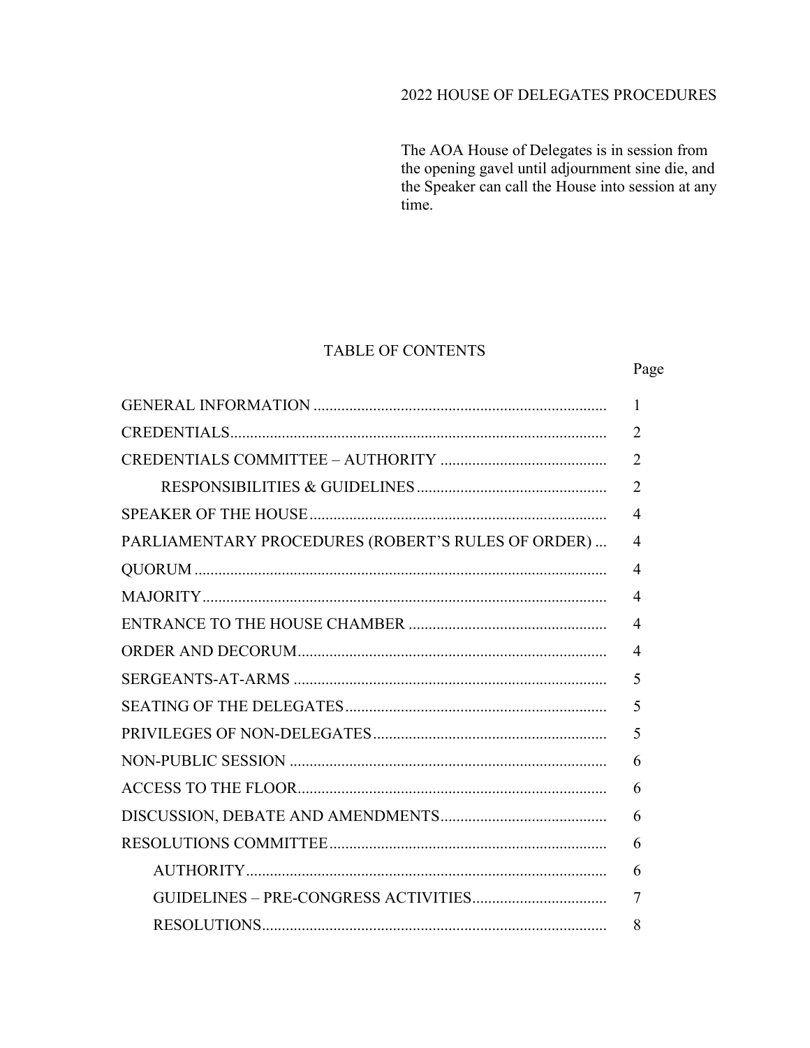# 2022 HOUSE OF DELEGATES PROCEDURES

The AOA House of Delegates is in session from the opening gavel until adjournment sine die, and the Speaker can call the House into session at any time.

Page

8

### **TABLE OF CONTENTS**

#### $\mathbf{1}$  $\overline{2}$  $\mathcal{L}$  $\overline{2}$  $\overline{4}$ PARLIAMENTARY PROCEDURES (ROBERT'S RULES OF ORDER)...  $\overline{4}$  $\overline{4}$  $\overline{4}$  $\overline{4}$  $\overline{4}$ SERGEANTS-AT-ARMS 5 5  $\overline{\mathbf{5}}$ 6 6 6 6 AUTHORITY 6  $\tau$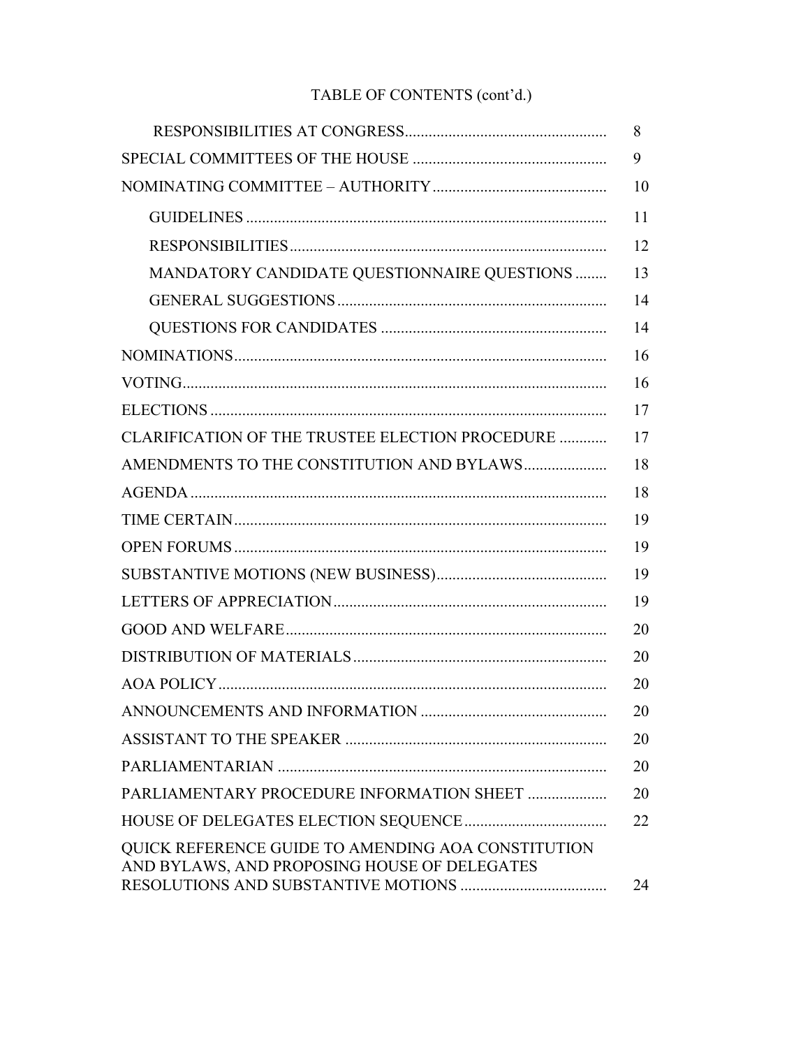# TABLE OF CONTENTS (cont'd.)

|                                                                                                    | 8  |
|----------------------------------------------------------------------------------------------------|----|
|                                                                                                    | 9  |
|                                                                                                    | 10 |
|                                                                                                    | 11 |
|                                                                                                    | 12 |
| MANDATORY CANDIDATE QUESTIONNAIRE QUESTIONS                                                        | 13 |
|                                                                                                    | 14 |
|                                                                                                    | 14 |
|                                                                                                    | 16 |
|                                                                                                    | 16 |
|                                                                                                    | 17 |
| CLARIFICATION OF THE TRUSTEE ELECTION PROCEDURE                                                    | 17 |
| AMENDMENTS TO THE CONSTITUTION AND BYLAWS                                                          | 18 |
|                                                                                                    | 18 |
|                                                                                                    | 19 |
|                                                                                                    | 19 |
|                                                                                                    | 19 |
|                                                                                                    | 19 |
|                                                                                                    | 20 |
|                                                                                                    | 20 |
|                                                                                                    | 20 |
|                                                                                                    | 20 |
|                                                                                                    | 20 |
|                                                                                                    | 20 |
| PARLIAMENTARY PROCEDURE INFORMATION SHEET                                                          | 20 |
|                                                                                                    | 22 |
| QUICK REFERENCE GUIDE TO AMENDING AOA CONSTITUTION<br>AND BYLAWS, AND PROPOSING HOUSE OF DELEGATES |    |
|                                                                                                    | 24 |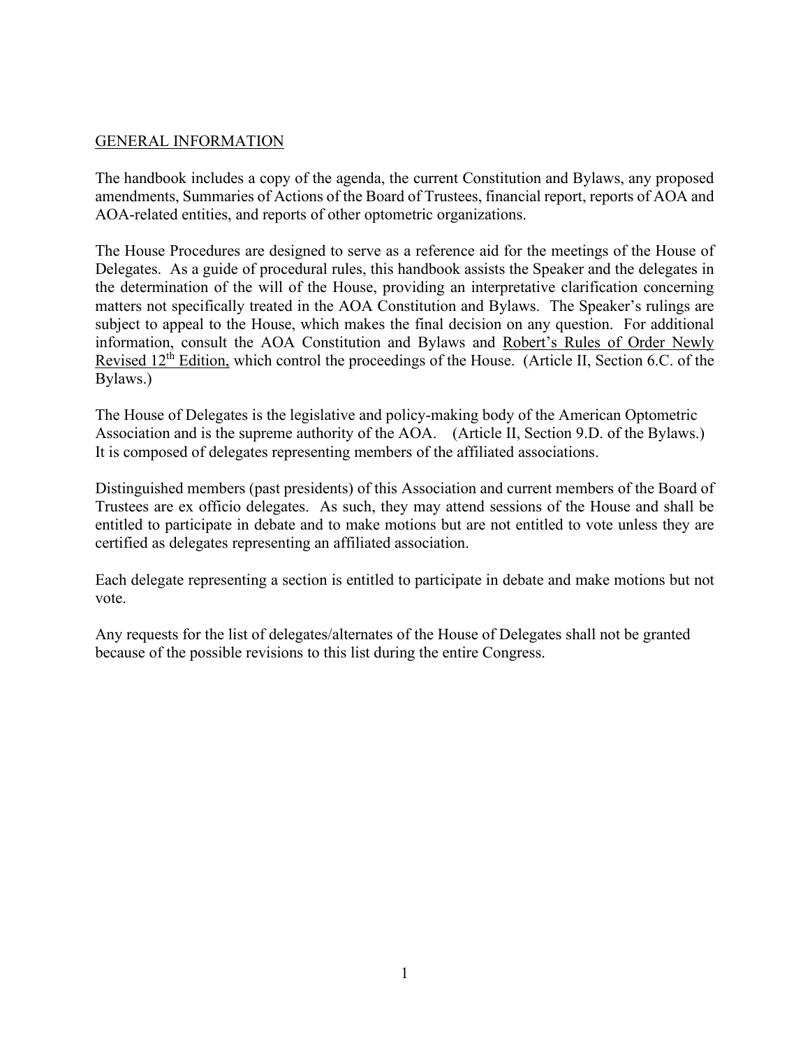# GENERAL INFORMATION

The handbook includes a copy of the agenda, the current Constitution and Bylaws, any proposed amendments, Summaries of Actions of the Board of Trustees, financial report, reports of AOA and AOA-related entities, and reports of other optometric organizations.

The House Procedures are designed to serve as a reference aid for the meetings of the House of Delegates. As a guide of procedural rules, this handbook assists the Speaker and the delegates in the determination of the will of the House, providing an interpretative clarification concerning matters not specifically treated in the AOA Constitution and Bylaws. The Speaker's rulings are subject to appeal to the House, which makes the final decision on any question. For additional information, consult the AOA Constitution and Bylaws and Robert's Rules of Order Newly Revised 12<sup>th</sup> Edition, which control the proceedings of the House. (Article II, Section 6.C. of the Bylaws.)

The House of Delegates is the legislative and policy-making body of the American Optometric Association and is the supreme authority of the AOA. (Article II, Section 9.D. of the Bylaws.) It is composed of delegates representing members of the affiliated associations.

Distinguished members (past presidents) of this Association and current members of the Board of Trustees are ex officio delegates. As such, they may attend sessions of the House and shall be entitled to participate in debate and to make motions but are not entitled to vote unless they are certified as delegates representing an affiliated association.

Each delegate representing a section is entitled to participate in debate and make motions but not vote.

Any requests for the list of delegates/alternates of the House of Delegates shall not be granted because of the possible revisions to this list during the entire Congress.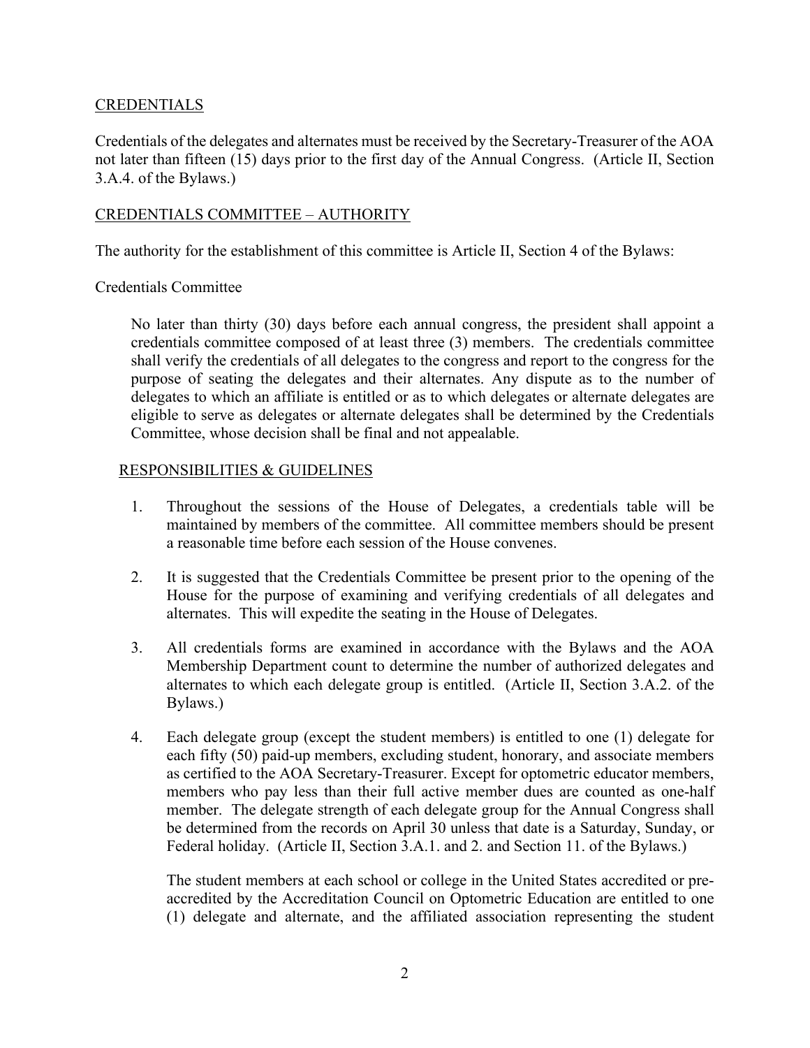# **CREDENTIALS**

Credentials of the delegates and alternates must be received by the Secretary-Treasurer of the AOA not later than fifteen (15) days prior to the first day of the Annual Congress. (Article II, Section 3.A.4. of the Bylaws.)

# CREDENTIALS COMMITTEE – AUTHORITY

The authority for the establishment of this committee is Article II, Section 4 of the Bylaws:

# Credentials Committee

No later than thirty (30) days before each annual congress, the president shall appoint a credentials committee composed of at least three (3) members. The credentials committee shall verify the credentials of all delegates to the congress and report to the congress for the purpose of seating the delegates and their alternates. Any dispute as to the number of delegates to which an affiliate is entitled or as to which delegates or alternate delegates are eligible to serve as delegates or alternate delegates shall be determined by the Credentials Committee, whose decision shall be final and not appealable.

# RESPONSIBILITIES & GUIDELINES

- 1. Throughout the sessions of the House of Delegates, a credentials table will be maintained by members of the committee. All committee members should be present a reasonable time before each session of the House convenes.
- 2. It is suggested that the Credentials Committee be present prior to the opening of the House for the purpose of examining and verifying credentials of all delegates and alternates. This will expedite the seating in the House of Delegates.
- 3. All credentials forms are examined in accordance with the Bylaws and the AOA Membership Department count to determine the number of authorized delegates and alternates to which each delegate group is entitled. (Article II, Section 3.A.2. of the Bylaws.)
- 4. Each delegate group (except the student members) is entitled to one (1) delegate for each fifty (50) paid-up members, excluding student, honorary, and associate members as certified to the AOA Secretary-Treasurer. Except for optometric educator members, members who pay less than their full active member dues are counted as one-half member. The delegate strength of each delegate group for the Annual Congress shall be determined from the records on April 30 unless that date is a Saturday, Sunday, or Federal holiday. (Article II, Section 3.A.1. and 2. and Section 11. of the Bylaws.)

The student members at each school or college in the United States accredited or preaccredited by the Accreditation Council on Optometric Education are entitled to one (1) delegate and alternate, and the affiliated association representing the student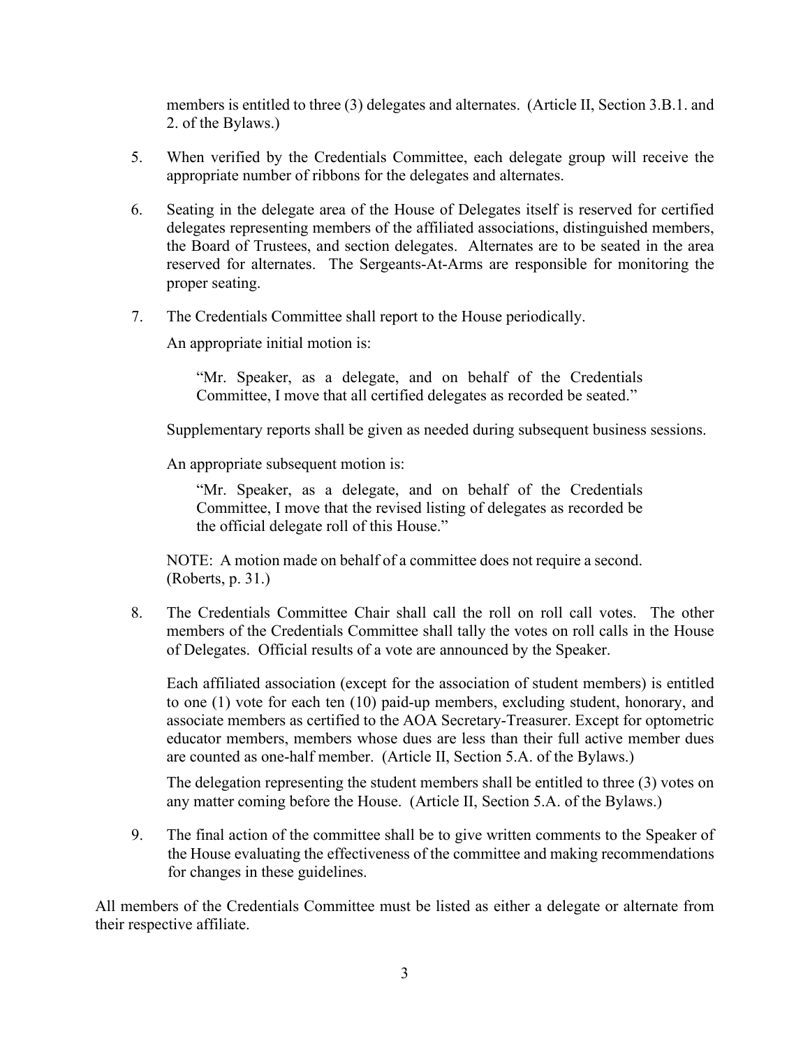members is entitled to three (3) delegates and alternates. (Article II, Section 3.B.1. and 2. of the Bylaws.)

- 5. When verified by the Credentials Committee, each delegate group will receive the appropriate number of ribbons for the delegates and alternates.
- 6. Seating in the delegate area of the House of Delegates itself is reserved for certified delegates representing members of the affiliated associations, distinguished members, the Board of Trustees, and section delegates. Alternates are to be seated in the area reserved for alternates. The Sergeants-At-Arms are responsible for monitoring the proper seating.
- 7. The Credentials Committee shall report to the House periodically.

An appropriate initial motion is:

"Mr. Speaker, as a delegate, and on behalf of the Credentials Committee, I move that all certified delegates as recorded be seated."

Supplementary reports shall be given as needed during subsequent business sessions.

An appropriate subsequent motion is:

"Mr. Speaker, as a delegate, and on behalf of the Credentials Committee, I move that the revised listing of delegates as recorded be the official delegate roll of this House."

NOTE: A motion made on behalf of a committee does not require a second. (Roberts, p. 31.)

8. The Credentials Committee Chair shall call the roll on roll call votes. The other members of the Credentials Committee shall tally the votes on roll calls in the House of Delegates. Official results of a vote are announced by the Speaker.

Each affiliated association (except for the association of student members) is entitled to one (1) vote for each ten (10) paid-up members, excluding student, honorary, and associate members as certified to the AOA Secretary-Treasurer. Except for optometric educator members, members whose dues are less than their full active member dues are counted as one-half member. (Article II, Section 5.A. of the Bylaws.)

The delegation representing the student members shall be entitled to three (3) votes on any matter coming before the House. (Article II, Section 5.A. of the Bylaws.)

9. The final action of the committee shall be to give written comments to the Speaker of the House evaluating the effectiveness of the committee and making recommendations for changes in these guidelines.

All members of the Credentials Committee must be listed as either a delegate or alternate from their respective affiliate.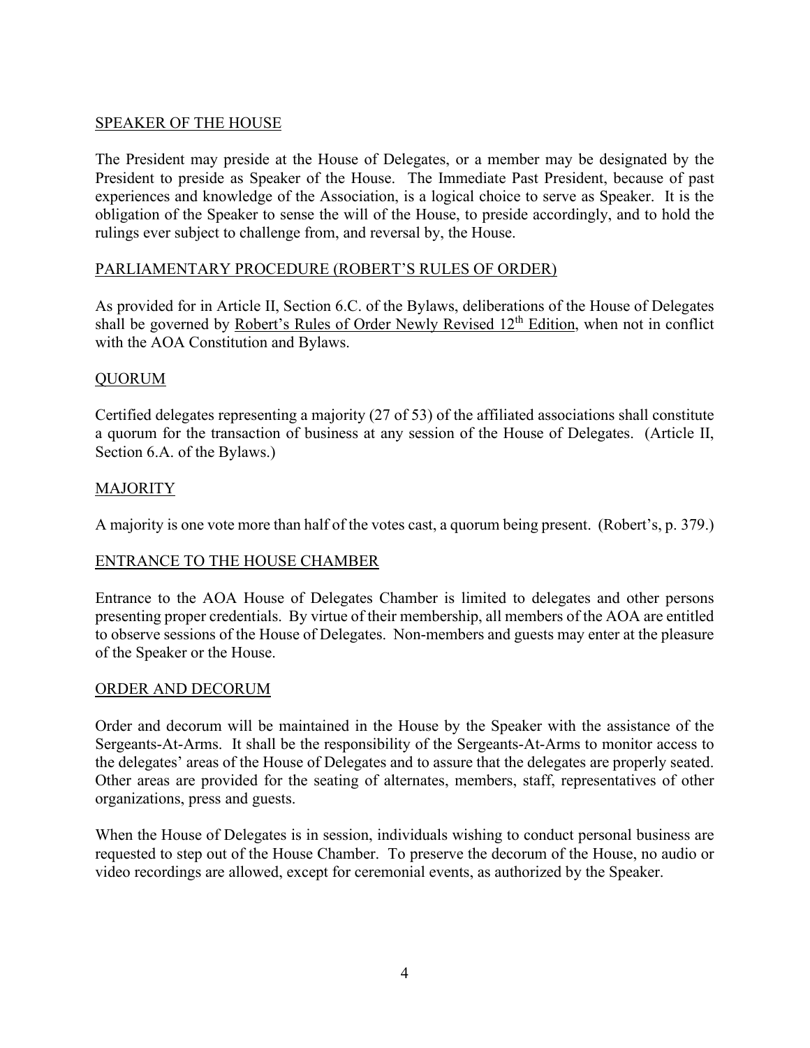# SPEAKER OF THE HOUSE

The President may preside at the House of Delegates, or a member may be designated by the President to preside as Speaker of the House. The Immediate Past President, because of past experiences and knowledge of the Association, is a logical choice to serve as Speaker. It is the obligation of the Speaker to sense the will of the House, to preside accordingly, and to hold the rulings ever subject to challenge from, and reversal by, the House.

# PARLIAMENTARY PROCEDURE (ROBERT'S RULES OF ORDER)

As provided for in Article II, Section 6.C. of the Bylaws, deliberations of the House of Delegates shall be governed by Robert's Rules of Order Newly Revised  $12<sup>th</sup>$  Edition, when not in conflict with the AOA Constitution and Bylaws.

# QUORUM

Certified delegates representing a majority (27 of 53) of the affiliated associations shall constitute a quorum for the transaction of business at any session of the House of Delegates. (Article II, Section 6.A. of the Bylaws.)

# **MAJORITY**

A majority is one vote more than half of the votes cast, a quorum being present. (Robert's, p. 379.)

# ENTRANCE TO THE HOUSE CHAMBER

Entrance to the AOA House of Delegates Chamber is limited to delegates and other persons presenting proper credentials. By virtue of their membership, all members of the AOA are entitled to observe sessions of the House of Delegates. Non-members and guests may enter at the pleasure of the Speaker or the House.

# ORDER AND DECORUM

Order and decorum will be maintained in the House by the Speaker with the assistance of the Sergeants-At-Arms. It shall be the responsibility of the Sergeants-At-Arms to monitor access to the delegates' areas of the House of Delegates and to assure that the delegates are properly seated. Other areas are provided for the seating of alternates, members, staff, representatives of other organizations, press and guests.

When the House of Delegates is in session, individuals wishing to conduct personal business are requested to step out of the House Chamber. To preserve the decorum of the House, no audio or video recordings are allowed, except for ceremonial events, as authorized by the Speaker.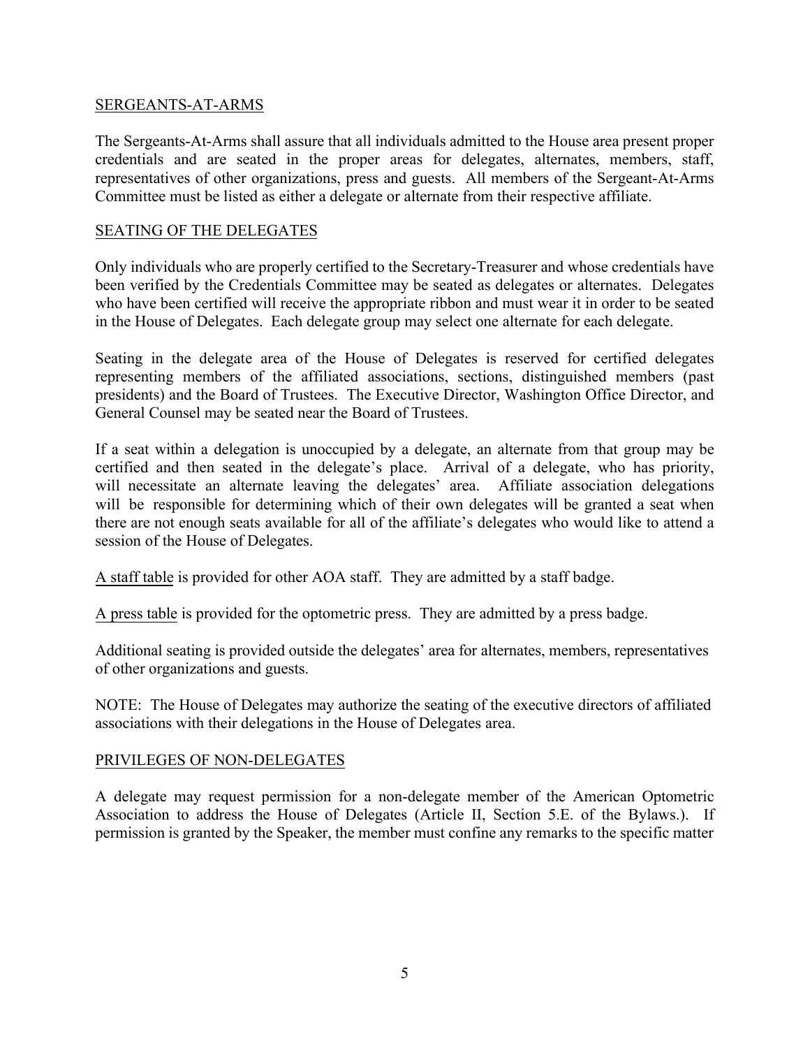# SERGEANTS-AT-ARMS

The Sergeants-At-Arms shall assure that all individuals admitted to the House area present proper credentials and are seated in the proper areas for delegates, alternates, members, staff, representatives of other organizations, press and guests. All members of the Sergeant-At-Arms Committee must be listed as either a delegate or alternate from their respective affiliate.

# SEATING OF THE DELEGATES

Only individuals who are properly certified to the Secretary-Treasurer and whose credentials have been verified by the Credentials Committee may be seated as delegates or alternates. Delegates who have been certified will receive the appropriate ribbon and must wear it in order to be seated in the House of Delegates. Each delegate group may select one alternate for each delegate.

Seating in the delegate area of the House of Delegates is reserved for certified delegates representing members of the affiliated associations, sections, distinguished members (past presidents) and the Board of Trustees. The Executive Director, Washington Office Director, and General Counsel may be seated near the Board of Trustees.

If a seat within a delegation is unoccupied by a delegate, an alternate from that group may be certified and then seated in the delegate's place. Arrival of a delegate, who has priority, will necessitate an alternate leaving the delegates' area. Affiliate association delegations will be responsible for determining which of their own delegates will be granted a seat when there are not enough seats available for all of the affiliate's delegates who would like to attend a session of the House of Delegates.

A staff table is provided for other AOA staff. They are admitted by a staff badge.

A press table is provided for the optometric press. They are admitted by a press badge.

Additional seating is provided outside the delegates' area for alternates, members, representatives of other organizations and guests.

NOTE: The House of Delegates may authorize the seating of the executive directors of affiliated associations with their delegations in the House of Delegates area.

# PRIVILEGES OF NON-DELEGATES

A delegate may request permission for a non-delegate member of the American Optometric Association to address the House of Delegates (Article II, Section 5.E. of the Bylaws.). If permission is granted by the Speaker, the member must confine any remarks to the specific matter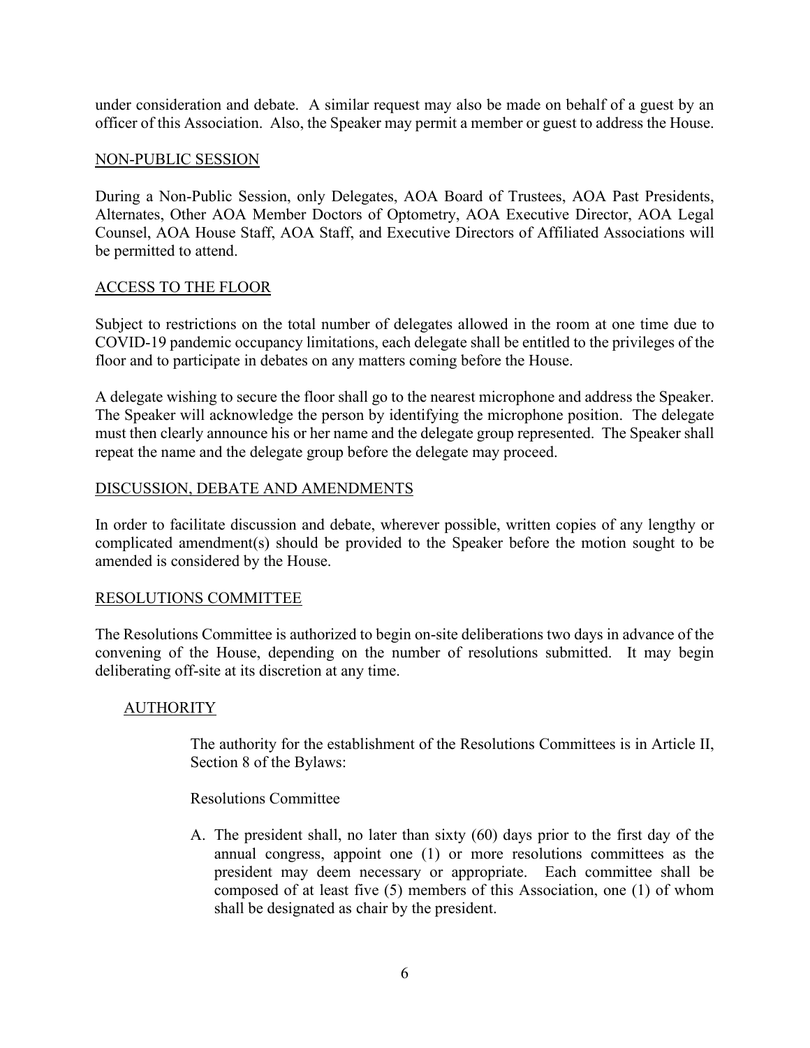under consideration and debate. A similar request may also be made on behalf of a guest by an officer of this Association. Also, the Speaker may permit a member or guest to address the House.

# NON-PUBLIC SESSION

During a Non-Public Session, only Delegates, AOA Board of Trustees, AOA Past Presidents, Alternates, Other AOA Member Doctors of Optometry, AOA Executive Director, AOA Legal Counsel, AOA House Staff, AOA Staff, and Executive Directors of Affiliated Associations will be permitted to attend.

# ACCESS TO THE FLOOR

Subject to restrictions on the total number of delegates allowed in the room at one time due to COVID-19 pandemic occupancy limitations, each delegate shall be entitled to the privileges of the floor and to participate in debates on any matters coming before the House.

A delegate wishing to secure the floor shall go to the nearest microphone and address the Speaker. The Speaker will acknowledge the person by identifying the microphone position. The delegate must then clearly announce his or her name and the delegate group represented. The Speaker shall repeat the name and the delegate group before the delegate may proceed.

# DISCUSSION, DEBATE AND AMENDMENTS

In order to facilitate discussion and debate, wherever possible, written copies of any lengthy or complicated amendment(s) should be provided to the Speaker before the motion sought to be amended is considered by the House.

# RESOLUTIONS COMMITTEE

The Resolutions Committee is authorized to begin on-site deliberations two days in advance of the convening of the House, depending on the number of resolutions submitted. It may begin deliberating off-site at its discretion at any time.

# **AUTHORITY**

The authority for the establishment of the Resolutions Committees is in Article II, Section 8 of the Bylaws:

Resolutions Committee

A. The president shall, no later than sixty (60) days prior to the first day of the annual congress, appoint one (1) or more resolutions committees as the president may deem necessary or appropriate. Each committee shall be composed of at least five (5) members of this Association, one (1) of whom shall be designated as chair by the president.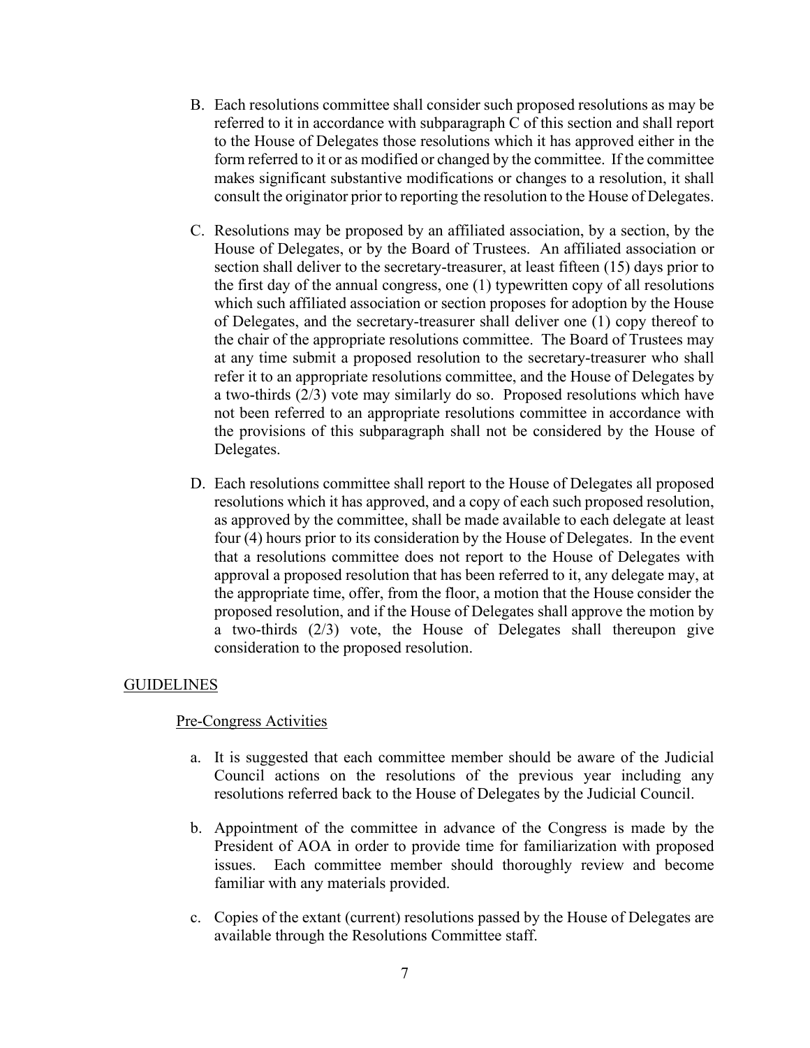- B. Each resolutions committee shall consider such proposed resolutions as may be referred to it in accordance with subparagraph C of this section and shall report to the House of Delegates those resolutions which it has approved either in the form referred to it or as modified or changed by the committee. If the committee makes significant substantive modifications or changes to a resolution, it shall consult the originator prior to reporting the resolution to the House of Delegates.
- C. Resolutions may be proposed by an affiliated association, by a section, by the House of Delegates, or by the Board of Trustees. An affiliated association or section shall deliver to the secretary-treasurer, at least fifteen (15) days prior to the first day of the annual congress, one (1) typewritten copy of all resolutions which such affiliated association or section proposes for adoption by the House of Delegates, and the secretary-treasurer shall deliver one (1) copy thereof to the chair of the appropriate resolutions committee. The Board of Trustees may at any time submit a proposed resolution to the secretary-treasurer who shall refer it to an appropriate resolutions committee, and the House of Delegates by a two-thirds (2/3) vote may similarly do so. Proposed resolutions which have not been referred to an appropriate resolutions committee in accordance with the provisions of this subparagraph shall not be considered by the House of Delegates.
- D. Each resolutions committee shall report to the House of Delegates all proposed resolutions which it has approved, and a copy of each such proposed resolution, as approved by the committee, shall be made available to each delegate at least four (4) hours prior to its consideration by the House of Delegates. In the event that a resolutions committee does not report to the House of Delegates with approval a proposed resolution that has been referred to it, any delegate may, at the appropriate time, offer, from the floor, a motion that the House consider the proposed resolution, and if the House of Delegates shall approve the motion by a two-thirds (2/3) vote, the House of Delegates shall thereupon give consideration to the proposed resolution.

# GUIDELINES

# Pre-Congress Activities

- a. It is suggested that each committee member should be aware of the Judicial Council actions on the resolutions of the previous year including any resolutions referred back to the House of Delegates by the Judicial Council.
- b. Appointment of the committee in advance of the Congress is made by the President of AOA in order to provide time for familiarization with proposed issues. Each committee member should thoroughly review and become familiar with any materials provided.
- c. Copies of the extant (current) resolutions passed by the House of Delegates are available through the Resolutions Committee staff.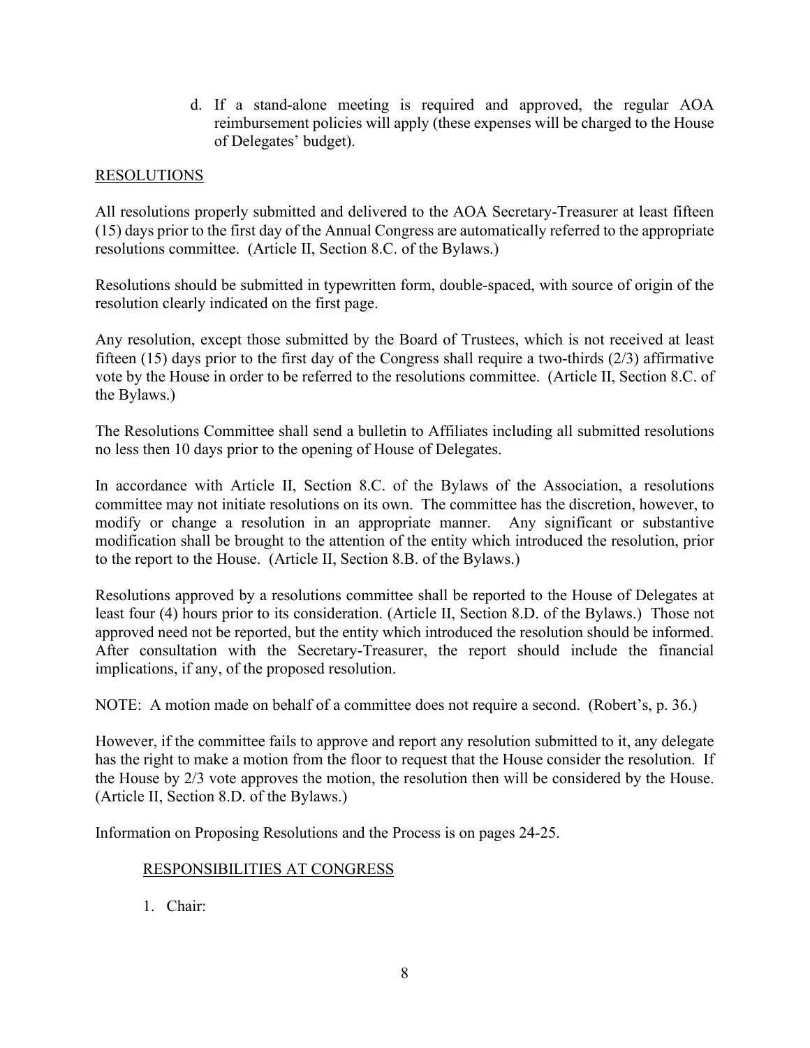d. If a stand-alone meeting is required and approved, the regular AOA reimbursement policies will apply (these expenses will be charged to the House of Delegates' budget).

# RESOLUTIONS

All resolutions properly submitted and delivered to the AOA Secretary-Treasurer at least fifteen (15) days prior to the first day of the Annual Congress are automatically referred to the appropriate resolutions committee. (Article II, Section 8.C. of the Bylaws.)

Resolutions should be submitted in typewritten form, double-spaced, with source of origin of the resolution clearly indicated on the first page.

Any resolution, except those submitted by the Board of Trustees, which is not received at least fifteen (15) days prior to the first day of the Congress shall require a two-thirds (2/3) affirmative vote by the House in order to be referred to the resolutions committee. (Article II, Section 8.C. of the Bylaws.)

The Resolutions Committee shall send a bulletin to Affiliates including all submitted resolutions no less then 10 days prior to the opening of House of Delegates.

In accordance with Article II, Section 8.C. of the Bylaws of the Association, a resolutions committee may not initiate resolutions on its own. The committee has the discretion, however, to modify or change a resolution in an appropriate manner. Any significant or substantive modification shall be brought to the attention of the entity which introduced the resolution, prior to the report to the House. (Article II, Section 8.B. of the Bylaws.)

Resolutions approved by a resolutions committee shall be reported to the House of Delegates at least four (4) hours prior to its consideration. (Article II, Section 8.D. of the Bylaws.) Those not approved need not be reported, but the entity which introduced the resolution should be informed. After consultation with the Secretary-Treasurer, the report should include the financial implications, if any, of the proposed resolution.

NOTE: A motion made on behalf of a committee does not require a second. (Robert's, p. 36.)

However, if the committee fails to approve and report any resolution submitted to it, any delegate has the right to make a motion from the floor to request that the House consider the resolution. If the House by 2/3 vote approves the motion, the resolution then will be considered by the House. (Article II, Section 8.D. of the Bylaws.)

Information on Proposing Resolutions and the Process is on pages 24-25.

# RESPONSIBILITIES AT CONGRESS

1. Chair: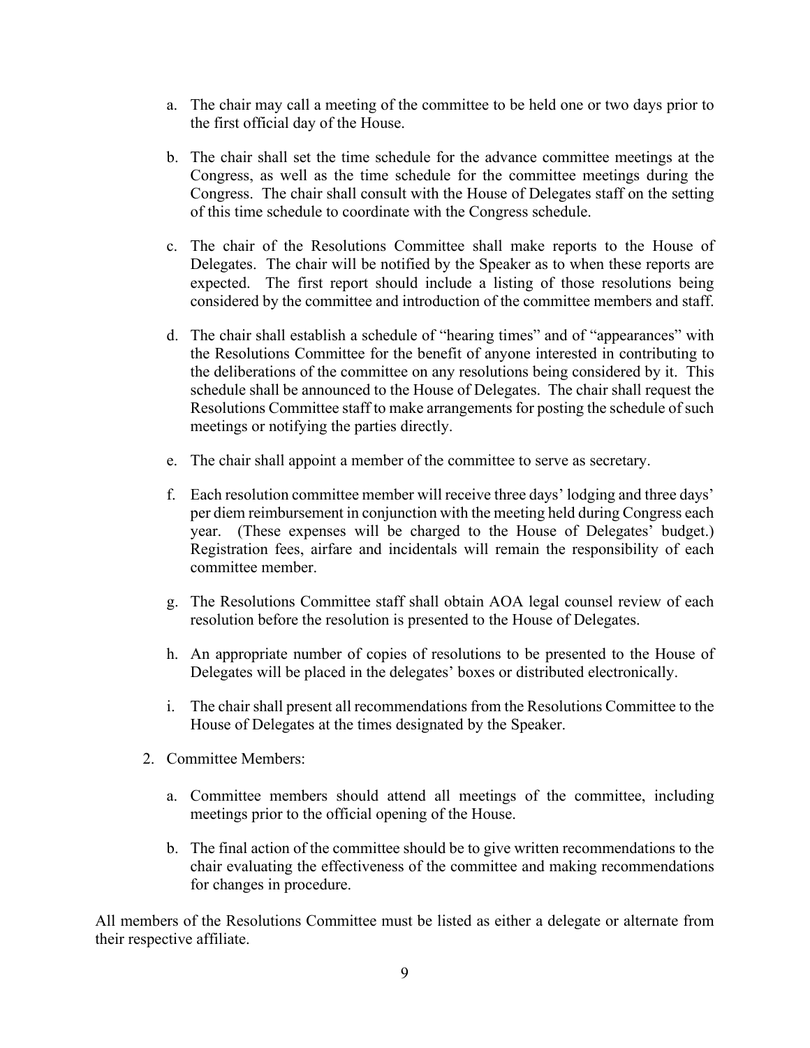- a. The chair may call a meeting of the committee to be held one or two days prior to the first official day of the House.
- b. The chair shall set the time schedule for the advance committee meetings at the Congress, as well as the time schedule for the committee meetings during the Congress. The chair shall consult with the House of Delegates staff on the setting of this time schedule to coordinate with the Congress schedule.
- c. The chair of the Resolutions Committee shall make reports to the House of Delegates. The chair will be notified by the Speaker as to when these reports are expected. The first report should include a listing of those resolutions being considered by the committee and introduction of the committee members and staff.
- d. The chair shall establish a schedule of "hearing times" and of "appearances" with the Resolutions Committee for the benefit of anyone interested in contributing to the deliberations of the committee on any resolutions being considered by it. This schedule shall be announced to the House of Delegates. The chair shall request the Resolutions Committee staff to make arrangements for posting the schedule of such meetings or notifying the parties directly.
- e. The chair shall appoint a member of the committee to serve as secretary.
- f. Each resolution committee member will receive three days' lodging and three days' per diem reimbursement in conjunction with the meeting held during Congress each year. (These expenses will be charged to the House of Delegates' budget.) Registration fees, airfare and incidentals will remain the responsibility of each committee member.
- g. The Resolutions Committee staff shall obtain AOA legal counsel review of each resolution before the resolution is presented to the House of Delegates.
- h. An appropriate number of copies of resolutions to be presented to the House of Delegates will be placed in the delegates' boxes or distributed electronically.
- i. The chair shall present all recommendations from the Resolutions Committee to the House of Delegates at the times designated by the Speaker.
- 2. Committee Members:
	- a. Committee members should attend all meetings of the committee, including meetings prior to the official opening of the House.
	- b. The final action of the committee should be to give written recommendations to the chair evaluating the effectiveness of the committee and making recommendations for changes in procedure.

All members of the Resolutions Committee must be listed as either a delegate or alternate from their respective affiliate.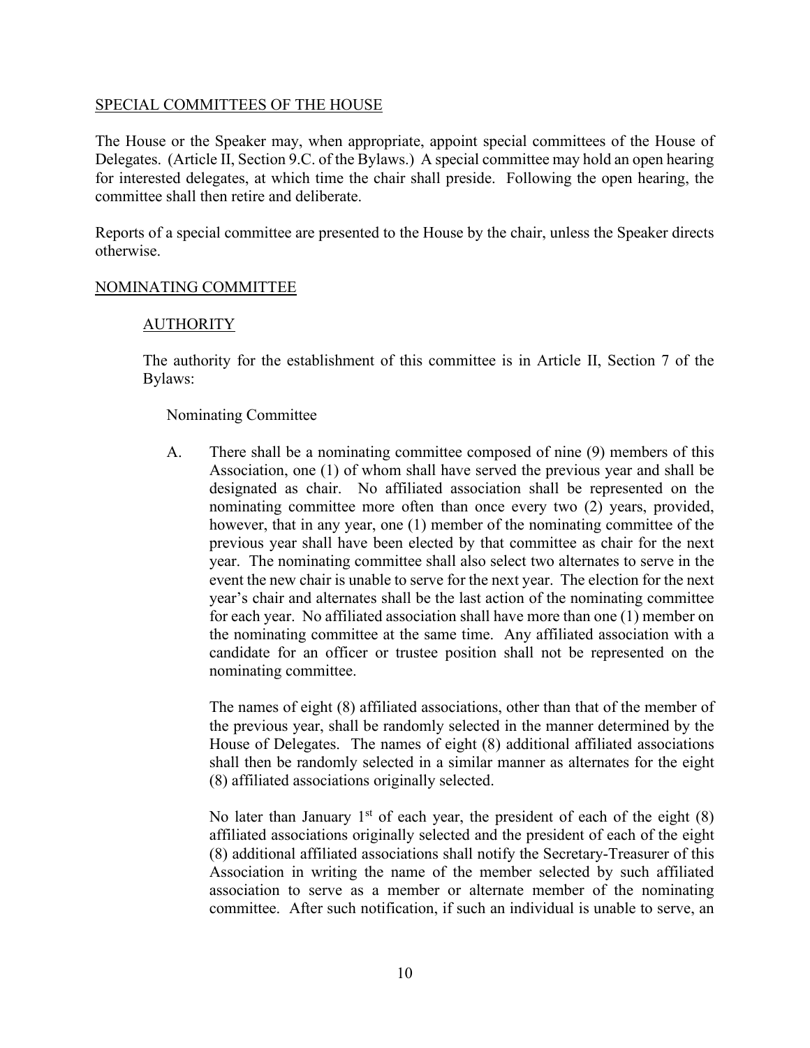## SPECIAL COMMITTEES OF THE HOUSE

The House or the Speaker may, when appropriate, appoint special committees of the House of Delegates. (Article II, Section 9.C. of the Bylaws.) A special committee may hold an open hearing for interested delegates, at which time the chair shall preside. Following the open hearing, the committee shall then retire and deliberate.

Reports of a special committee are presented to the House by the chair, unless the Speaker directs otherwise.

# NOMINATING COMMITTEE

# AUTHORITY

The authority for the establishment of this committee is in Article II, Section 7 of the Bylaws:

### Nominating Committee

A. There shall be a nominating committee composed of nine (9) members of this Association, one (1) of whom shall have served the previous year and shall be designated as chair. No affiliated association shall be represented on the nominating committee more often than once every two (2) years, provided, however, that in any year, one (1) member of the nominating committee of the previous year shall have been elected by that committee as chair for the next year. The nominating committee shall also select two alternates to serve in the event the new chair is unable to serve for the next year. The election for the next year's chair and alternates shall be the last action of the nominating committee for each year. No affiliated association shall have more than one (1) member on the nominating committee at the same time. Any affiliated association with a candidate for an officer or trustee position shall not be represented on the nominating committee.

The names of eight (8) affiliated associations, other than that of the member of the previous year, shall be randomly selected in the manner determined by the House of Delegates. The names of eight (8) additional affiliated associations shall then be randomly selected in a similar manner as alternates for the eight (8) affiliated associations originally selected.

No later than January  $1<sup>st</sup>$  of each year, the president of each of the eight (8) affiliated associations originally selected and the president of each of the eight (8) additional affiliated associations shall notify the Secretary-Treasurer of this Association in writing the name of the member selected by such affiliated association to serve as a member or alternate member of the nominating committee. After such notification, if such an individual is unable to serve, an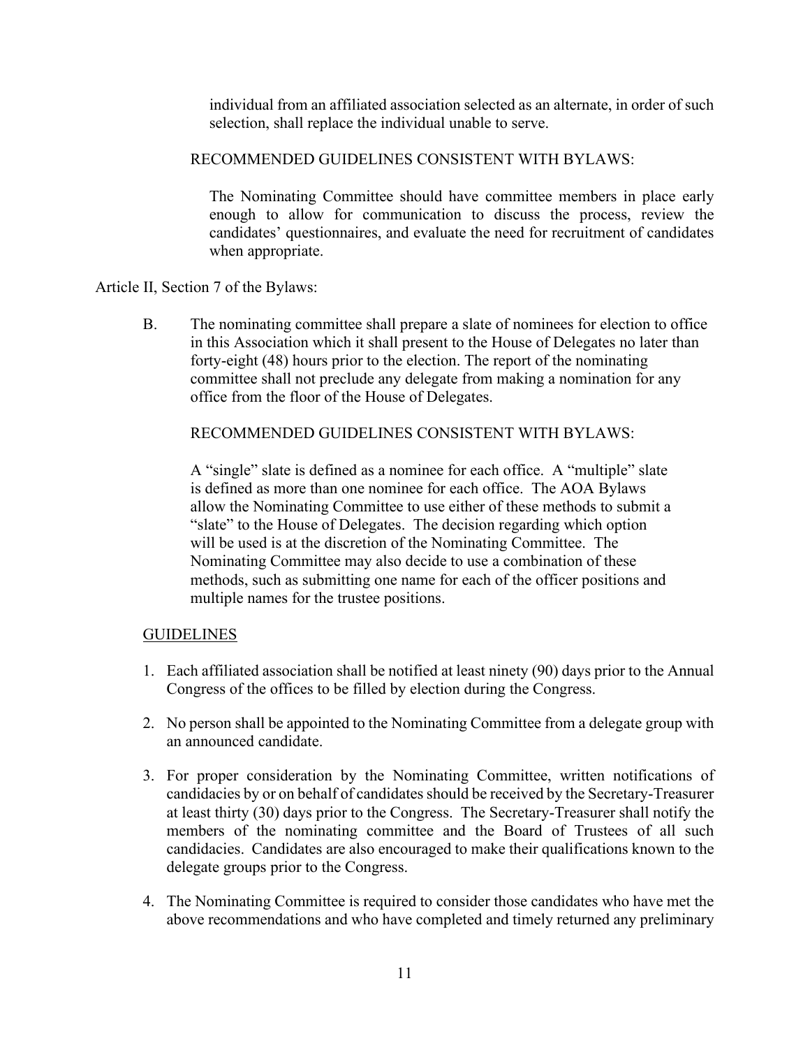individual from an affiliated association selected as an alternate, in order of such selection, shall replace the individual unable to serve.

# RECOMMENDED GUIDELINES CONSISTENT WITH BYLAWS:

The Nominating Committee should have committee members in place early enough to allow for communication to discuss the process, review the candidates' questionnaires, and evaluate the need for recruitment of candidates when appropriate.

# Article II, Section 7 of the Bylaws:

B. The nominating committee shall prepare a slate of nominees for election to office in this Association which it shall present to the House of Delegates no later than forty-eight (48) hours prior to the election. The report of the nominating committee shall not preclude any delegate from making a nomination for any office from the floor of the House of Delegates.

# RECOMMENDED GUIDELINES CONSISTENT WITH BYLAWS:

A "single" slate is defined as a nominee for each office. A "multiple" slate is defined as more than one nominee for each office. The AOA Bylaws allow the Nominating Committee to use either of these methods to submit a "slate" to the House of Delegates. The decision regarding which option will be used is at the discretion of the Nominating Committee. The Nominating Committee may also decide to use a combination of these methods, such as submitting one name for each of the officer positions and multiple names for the trustee positions.

# GUIDELINES

- 1. Each affiliated association shall be notified at least ninety (90) days prior to the Annual Congress of the offices to be filled by election during the Congress.
- 2. No person shall be appointed to the Nominating Committee from a delegate group with an announced candidate.
- 3. For proper consideration by the Nominating Committee, written notifications of candidacies by or on behalf of candidates should be received by the Secretary-Treasurer at least thirty (30) days prior to the Congress. The Secretary-Treasurer shall notify the members of the nominating committee and the Board of Trustees of all such candidacies. Candidates are also encouraged to make their qualifications known to the delegate groups prior to the Congress.
- 4. The Nominating Committee is required to consider those candidates who have met the above recommendations and who have completed and timely returned any preliminary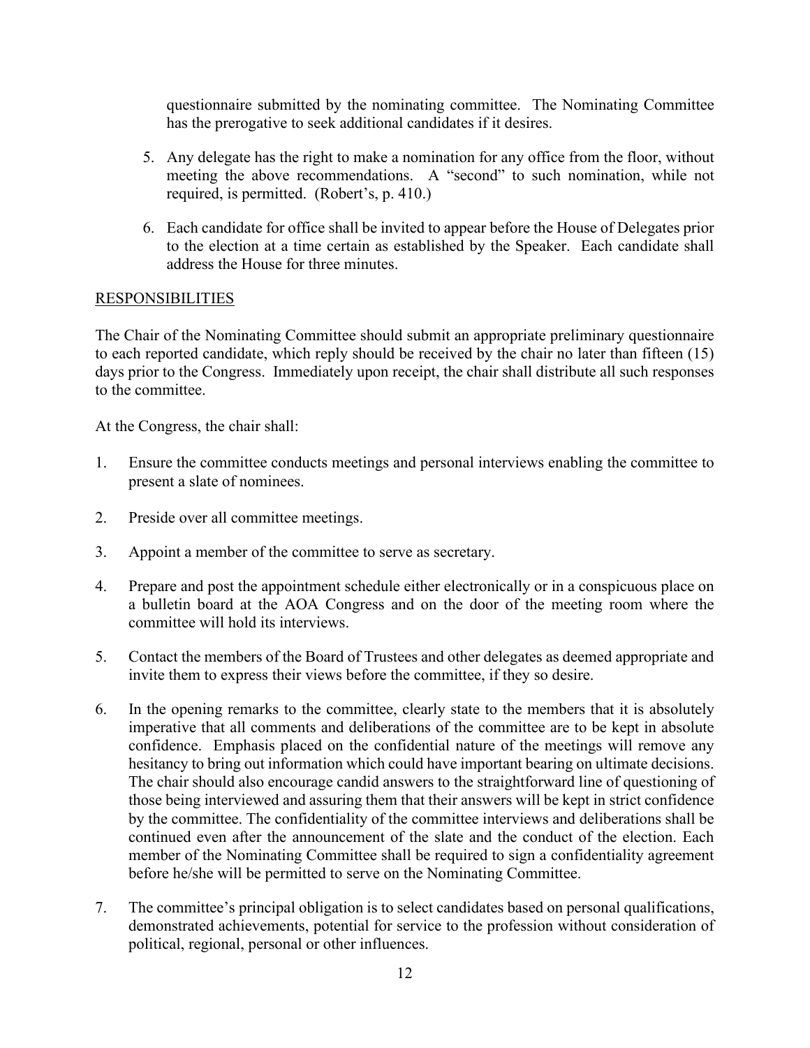questionnaire submitted by the nominating committee. The Nominating Committee has the prerogative to seek additional candidates if it desires.

- 5. Any delegate has the right to make a nomination for any office from the floor, without meeting the above recommendations. A "second" to such nomination, while not required, is permitted. (Robert's, p. 410.)
- 6. Each candidate for office shall be invited to appear before the House of Delegates prior to the election at a time certain as established by the Speaker. Each candidate shall address the House for three minutes.

# **RESPONSIBILITIES**

The Chair of the Nominating Committee should submit an appropriate preliminary questionnaire to each reported candidate, which reply should be received by the chair no later than fifteen (15) days prior to the Congress. Immediately upon receipt, the chair shall distribute all such responses to the committee.

At the Congress, the chair shall:

- 1. Ensure the committee conducts meetings and personal interviews enabling the committee to present a slate of nominees.
- 2. Preside over all committee meetings.
- 3. Appoint a member of the committee to serve as secretary.
- 4. Prepare and post the appointment schedule either electronically or in a conspicuous place on a bulletin board at the AOA Congress and on the door of the meeting room where the committee will hold its interviews.
- 5. Contact the members of the Board of Trustees and other delegates as deemed appropriate and invite them to express their views before the committee, if they so desire.
- 6. In the opening remarks to the committee, clearly state to the members that it is absolutely imperative that all comments and deliberations of the committee are to be kept in absolute confidence. Emphasis placed on the confidential nature of the meetings will remove any hesitancy to bring out information which could have important bearing on ultimate decisions. The chair should also encourage candid answers to the straightforward line of questioning of those being interviewed and assuring them that their answers will be kept in strict confidence by the committee. The confidentiality of the committee interviews and deliberations shall be continued even after the announcement of the slate and the conduct of the election. Each member of the Nominating Committee shall be required to sign a confidentiality agreement before he/she will be permitted to serve on the Nominating Committee.
- 7. The committee's principal obligation is to select candidates based on personal qualifications, demonstrated achievements, potential for service to the profession without consideration of political, regional, personal or other influences.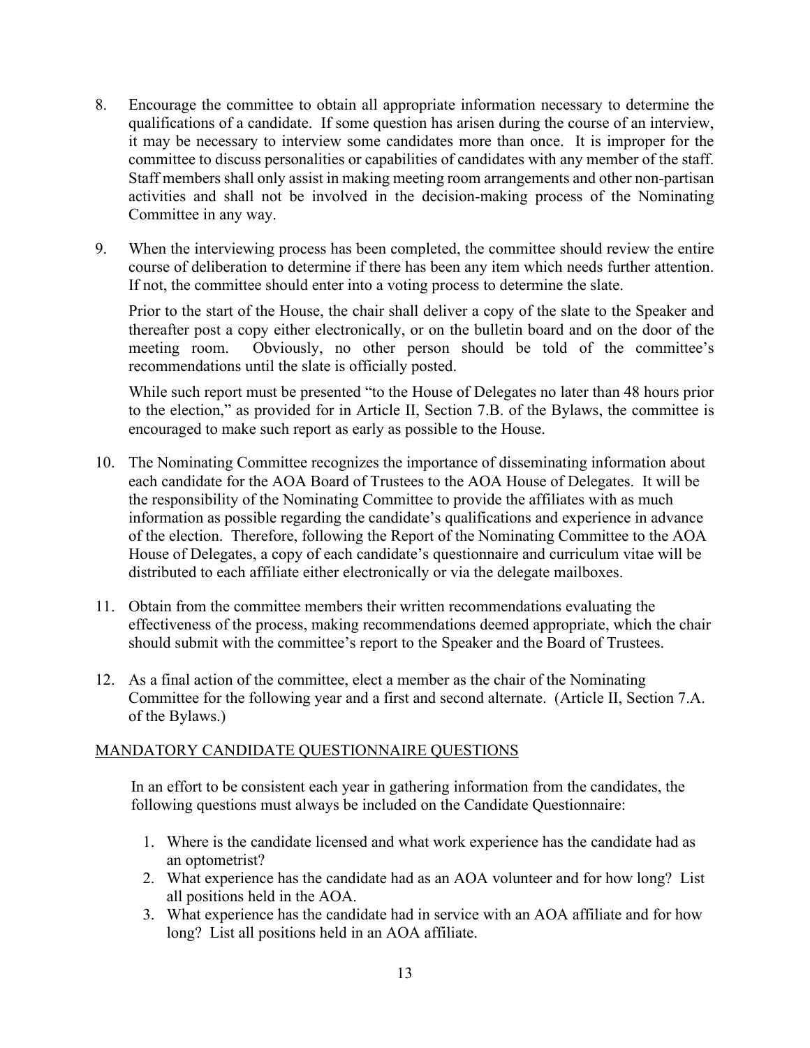- 8. Encourage the committee to obtain all appropriate information necessary to determine the qualifications of a candidate. If some question has arisen during the course of an interview, it may be necessary to interview some candidates more than once. It is improper for the committee to discuss personalities or capabilities of candidates with any member of the staff. Staff members shall only assist in making meeting room arrangements and other non-partisan activities and shall not be involved in the decision-making process of the Nominating Committee in any way.
- 9. When the interviewing process has been completed, the committee should review the entire course of deliberation to determine if there has been any item which needs further attention. If not, the committee should enter into a voting process to determine the slate.

Prior to the start of the House, the chair shall deliver a copy of the slate to the Speaker and thereafter post a copy either electronically, or on the bulletin board and on the door of the meeting room. Obviously, no other person should be told of the committee's recommendations until the slate is officially posted.

While such report must be presented "to the House of Delegates no later than 48 hours prior to the election," as provided for in Article II, Section 7.B. of the Bylaws, the committee is encouraged to make such report as early as possible to the House.

- 10. The Nominating Committee recognizes the importance of disseminating information about each candidate for the AOA Board of Trustees to the AOA House of Delegates. It will be the responsibility of the Nominating Committee to provide the affiliates with as much information as possible regarding the candidate's qualifications and experience in advance of the election. Therefore, following the Report of the Nominating Committee to the AOA House of Delegates, a copy of each candidate's questionnaire and curriculum vitae will be distributed to each affiliate either electronically or via the delegate mailboxes.
- 11. Obtain from the committee members their written recommendations evaluating the effectiveness of the process, making recommendations deemed appropriate, which the chair should submit with the committee's report to the Speaker and the Board of Trustees.
- 12. As a final action of the committee, elect a member as the chair of the Nominating Committee for the following year and a first and second alternate. (Article II, Section 7.A. of the Bylaws.)

# MANDATORY CANDIDATE QUESTIONNAIRE QUESTIONS

In an effort to be consistent each year in gathering information from the candidates, the following questions must always be included on the Candidate Questionnaire:

- 1. Where is the candidate licensed and what work experience has the candidate had as an optometrist?
- 2. What experience has the candidate had as an AOA volunteer and for how long? List all positions held in the AOA.
- 3. What experience has the candidate had in service with an AOA affiliate and for how long? List all positions held in an AOA affiliate.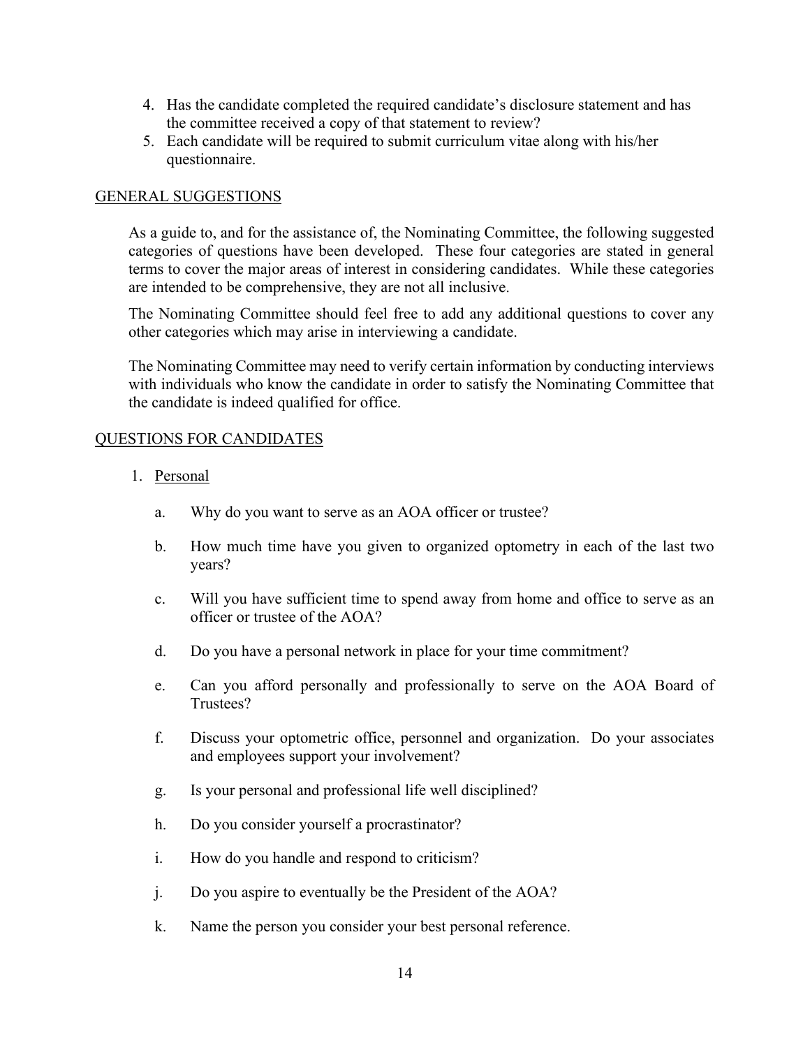- 4. Has the candidate completed the required candidate's disclosure statement and has the committee received a copy of that statement to review?
- 5. Each candidate will be required to submit curriculum vitae along with his/her questionnaire.

# GENERAL SUGGESTIONS

As a guide to, and for the assistance of, the Nominating Committee, the following suggested categories of questions have been developed. These four categories are stated in general terms to cover the major areas of interest in considering candidates. While these categories are intended to be comprehensive, they are not all inclusive.

The Nominating Committee should feel free to add any additional questions to cover any other categories which may arise in interviewing a candidate.

The Nominating Committee may need to verify certain information by conducting interviews with individuals who know the candidate in order to satisfy the Nominating Committee that the candidate is indeed qualified for office.

# QUESTIONS FOR CANDIDATES

- 1. Personal
	- a. Why do you want to serve as an AOA officer or trustee?
	- b. How much time have you given to organized optometry in each of the last two years?
	- c. Will you have sufficient time to spend away from home and office to serve as an officer or trustee of the AOA?
	- d. Do you have a personal network in place for your time commitment?
	- e. Can you afford personally and professionally to serve on the AOA Board of Trustees?
	- f. Discuss your optometric office, personnel and organization. Do your associates and employees support your involvement?
	- g. Is your personal and professional life well disciplined?
	- h. Do you consider yourself a procrastinator?
	- i. How do you handle and respond to criticism?
	- j. Do you aspire to eventually be the President of the AOA?
	- k. Name the person you consider your best personal reference.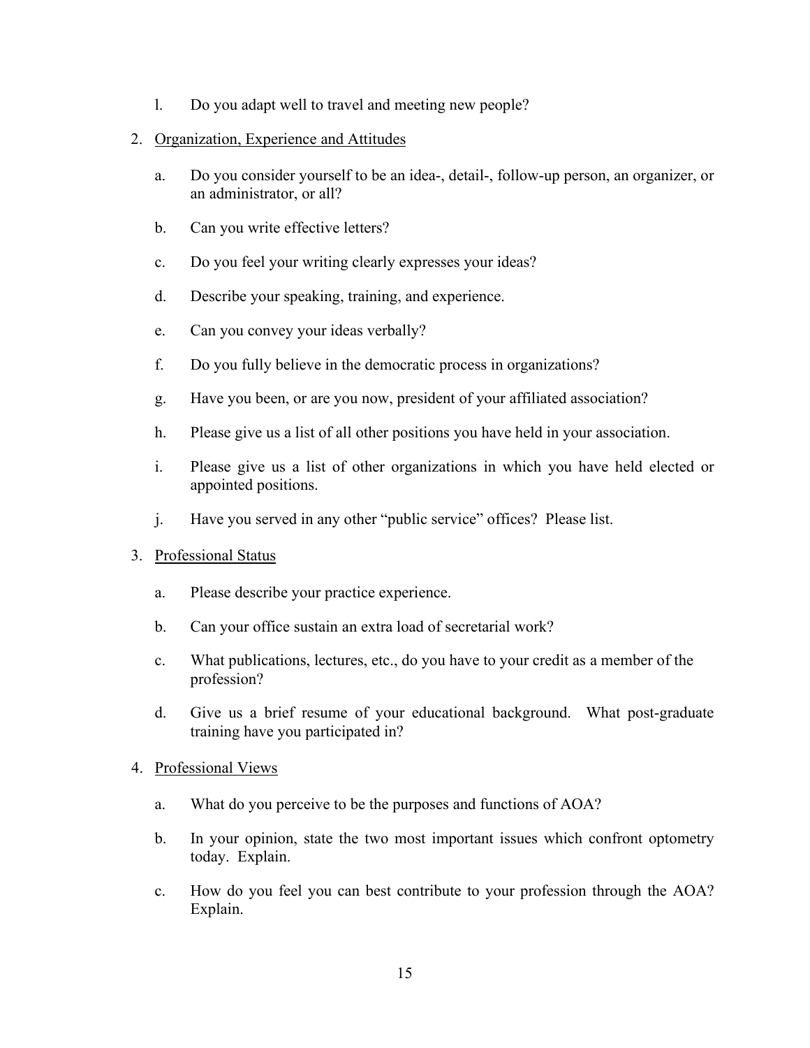- l. Do you adapt well to travel and meeting new people?
- 2. Organization, Experience and Attitudes
	- a. Do you consider yourself to be an idea-, detail-, follow-up person, an organizer, or an administrator, or all?
	- b. Can you write effective letters?
	- c. Do you feel your writing clearly expresses your ideas?
	- d. Describe your speaking, training, and experience.
	- e. Can you convey your ideas verbally?
	- f. Do you fully believe in the democratic process in organizations?
	- g. Have you been, or are you now, president of your affiliated association?
	- h. Please give us a list of all other positions you have held in your association.
	- i. Please give us a list of other organizations in which you have held elected or appointed positions.
	- j. Have you served in any other "public service" offices? Please list.
- 3. Professional Status
	- a. Please describe your practice experience.
	- b. Can your office sustain an extra load of secretarial work?
	- c. What publications, lectures, etc., do you have to your credit as a member of the profession?
	- d. Give us a brief resume of your educational background. What post-graduate training have you participated in?
- 4. Professional Views
	- a. What do you perceive to be the purposes and functions of AOA?
	- b. In your opinion, state the two most important issues which confront optometry today. Explain.
	- c. How do you feel you can best contribute to your profession through the AOA? Explain.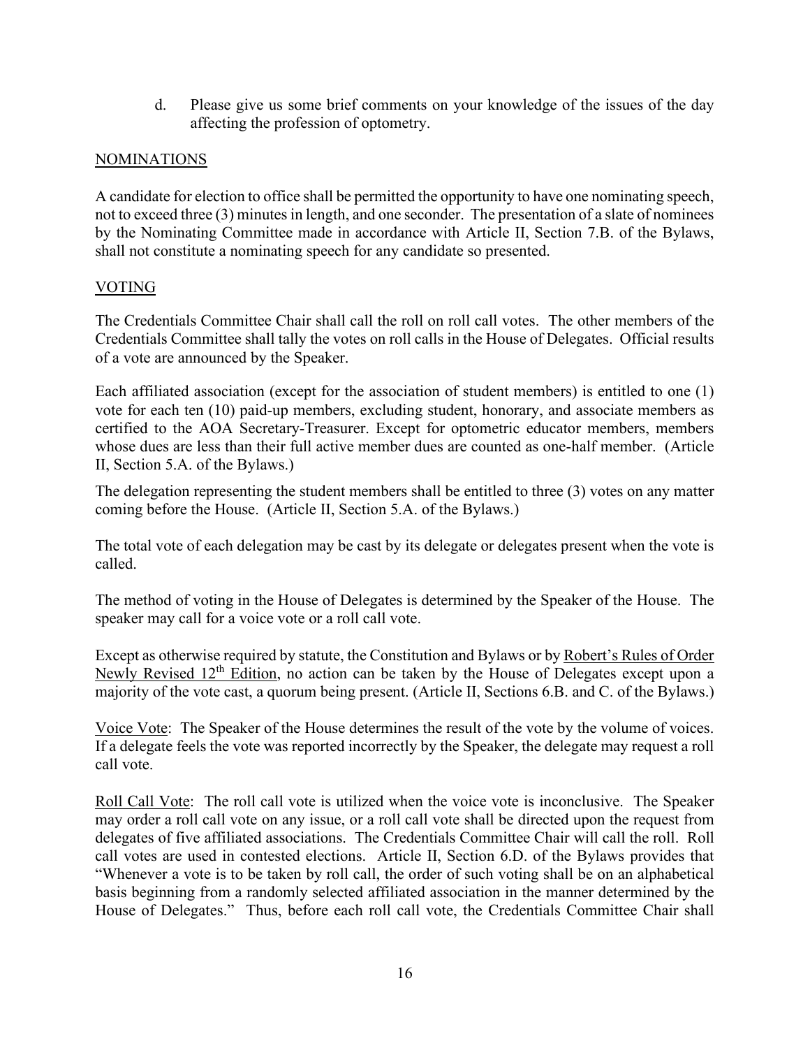d. Please give us some brief comments on your knowledge of the issues of the day affecting the profession of optometry.

# **NOMINATIONS**

A candidate for election to office shall be permitted the opportunity to have one nominating speech, not to exceed three (3) minutes in length, and one seconder. The presentation of a slate of nominees by the Nominating Committee made in accordance with Article II, Section 7.B. of the Bylaws, shall not constitute a nominating speech for any candidate so presented.

# VOTING

The Credentials Committee Chair shall call the roll on roll call votes. The other members of the Credentials Committee shall tally the votes on roll calls in the House of Delegates. Official results of a vote are announced by the Speaker.

Each affiliated association (except for the association of student members) is entitled to one (1) vote for each ten (10) paid-up members, excluding student, honorary, and associate members as certified to the AOA Secretary-Treasurer. Except for optometric educator members, members whose dues are less than their full active member dues are counted as one-half member. (Article II, Section 5.A. of the Bylaws.)

The delegation representing the student members shall be entitled to three (3) votes on any matter coming before the House. (Article II, Section 5.A. of the Bylaws.)

The total vote of each delegation may be cast by its delegate or delegates present when the vote is called.

The method of voting in the House of Delegates is determined by the Speaker of the House. The speaker may call for a voice vote or a roll call vote.

Except as otherwise required by statute, the Constitution and Bylaws or by Robert's Rules of Order Newly Revised 12<sup>th</sup> Edition, no action can be taken by the House of Delegates except upon a majority of the vote cast, a quorum being present. (Article II, Sections 6.B. and C. of the Bylaws.)

Voice Vote: The Speaker of the House determines the result of the vote by the volume of voices. If a delegate feels the vote was reported incorrectly by the Speaker, the delegate may request a roll call vote.

Roll Call Vote: The roll call vote is utilized when the voice vote is inconclusive. The Speaker may order a roll call vote on any issue, or a roll call vote shall be directed upon the request from delegates of five affiliated associations. The Credentials Committee Chair will call the roll. Roll call votes are used in contested elections. Article II, Section 6.D. of the Bylaws provides that "Whenever a vote is to be taken by roll call, the order of such voting shall be on an alphabetical basis beginning from a randomly selected affiliated association in the manner determined by the House of Delegates." Thus, before each roll call vote, the Credentials Committee Chair shall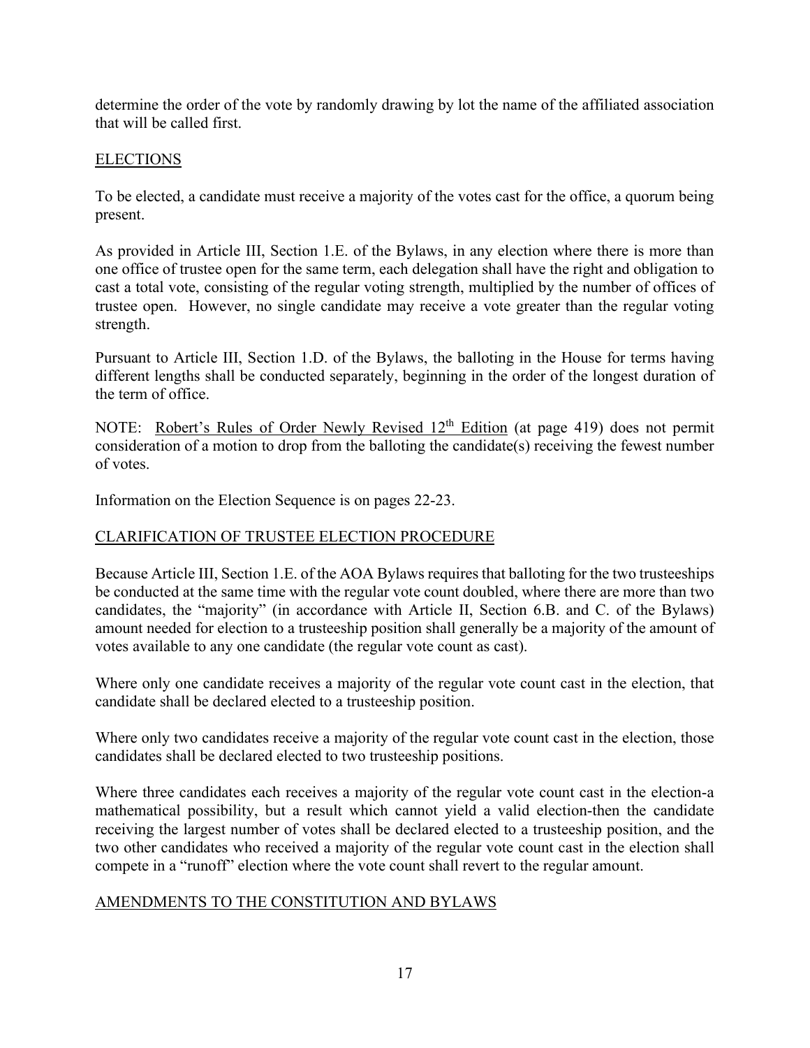determine the order of the vote by randomly drawing by lot the name of the affiliated association that will be called first.

# ELECTIONS

To be elected, a candidate must receive a majority of the votes cast for the office, a quorum being present.

As provided in Article III, Section 1.E. of the Bylaws, in any election where there is more than one office of trustee open for the same term, each delegation shall have the right and obligation to cast a total vote, consisting of the regular voting strength, multiplied by the number of offices of trustee open. However, no single candidate may receive a vote greater than the regular voting strength.

Pursuant to Article III, Section 1.D. of the Bylaws, the balloting in the House for terms having different lengths shall be conducted separately, beginning in the order of the longest duration of the term of office.

NOTE: Robert's Rules of Order Newly Revised 12<sup>th</sup> Edition (at page 419) does not permit consideration of a motion to drop from the balloting the candidate(s) receiving the fewest number of votes.

Information on the Election Sequence is on pages 22-23.

# CLARIFICATION OF TRUSTEE ELECTION PROCEDURE

Because Article III, Section 1.E. of the AOA Bylaws requires that balloting for the two trusteeships be conducted at the same time with the regular vote count doubled, where there are more than two candidates, the "majority" (in accordance with Article II, Section 6.B. and C. of the Bylaws) amount needed for election to a trusteeship position shall generally be a majority of the amount of votes available to any one candidate (the regular vote count as cast).

Where only one candidate receives a majority of the regular vote count cast in the election, that candidate shall be declared elected to a trusteeship position.

Where only two candidates receive a majority of the regular vote count cast in the election, those candidates shall be declared elected to two trusteeship positions.

Where three candidates each receives a majority of the regular vote count cast in the election-a mathematical possibility, but a result which cannot yield a valid election-then the candidate receiving the largest number of votes shall be declared elected to a trusteeship position, and the two other candidates who received a majority of the regular vote count cast in the election shall compete in a "runoff" election where the vote count shall revert to the regular amount.

# AMENDMENTS TO THE CONSTITUTION AND BYLAWS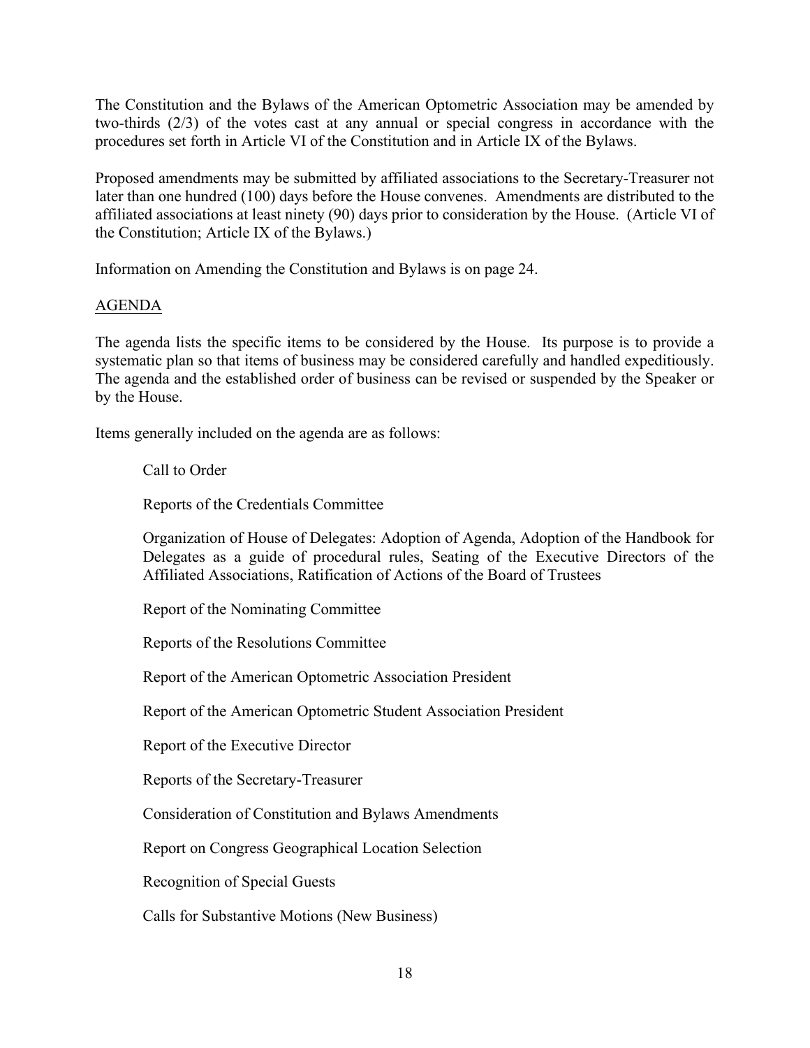The Constitution and the Bylaws of the American Optometric Association may be amended by two-thirds (2/3) of the votes cast at any annual or special congress in accordance with the procedures set forth in Article VI of the Constitution and in Article IX of the Bylaws.

Proposed amendments may be submitted by affiliated associations to the Secretary-Treasurer not later than one hundred (100) days before the House convenes. Amendments are distributed to the affiliated associations at least ninety (90) days prior to consideration by the House. (Article VI of the Constitution; Article IX of the Bylaws.)

Information on Amending the Constitution and Bylaws is on page 24.

# AGENDA

The agenda lists the specific items to be considered by the House. Its purpose is to provide a systematic plan so that items of business may be considered carefully and handled expeditiously. The agenda and the established order of business can be revised or suspended by the Speaker or by the House.

Items generally included on the agenda are as follows:

Call to Order

Reports of the Credentials Committee

Organization of House of Delegates: Adoption of Agenda, Adoption of the Handbook for Delegates as a guide of procedural rules, Seating of the Executive Directors of the Affiliated Associations, Ratification of Actions of the Board of Trustees

Report of the Nominating Committee

Reports of the Resolutions Committee

Report of the American Optometric Association President

Report of the American Optometric Student Association President

Report of the Executive Director

Reports of the Secretary-Treasurer

Consideration of Constitution and Bylaws Amendments

Report on Congress Geographical Location Selection

Recognition of Special Guests

Calls for Substantive Motions (New Business)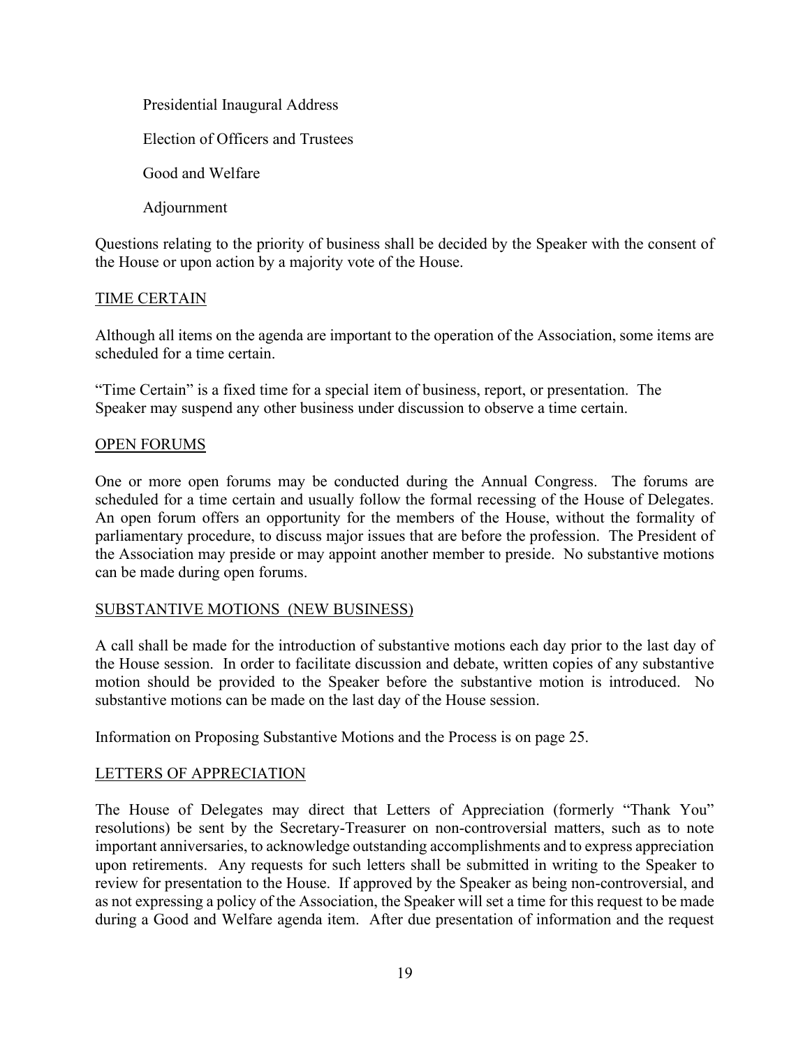Presidential Inaugural Address Election of Officers and Trustees Good and Welfare Adjournment

Questions relating to the priority of business shall be decided by the Speaker with the consent of the House or upon action by a majority vote of the House.

# TIME CERTAIN

Although all items on the agenda are important to the operation of the Association, some items are scheduled for a time certain.

"Time Certain" is a fixed time for a special item of business, report, or presentation. The Speaker may suspend any other business under discussion to observe a time certain.

# OPEN FORUMS

One or more open forums may be conducted during the Annual Congress. The forums are scheduled for a time certain and usually follow the formal recessing of the House of Delegates. An open forum offers an opportunity for the members of the House, without the formality of parliamentary procedure, to discuss major issues that are before the profession. The President of the Association may preside or may appoint another member to preside. No substantive motions can be made during open forums.

# SUBSTANTIVE MOTIONS (NEW BUSINESS)

A call shall be made for the introduction of substantive motions each day prior to the last day of the House session. In order to facilitate discussion and debate, written copies of any substantive motion should be provided to the Speaker before the substantive motion is introduced. No substantive motions can be made on the last day of the House session.

Information on Proposing Substantive Motions and the Process is on page 25.

# LETTERS OF APPRECIATION

The House of Delegates may direct that Letters of Appreciation (formerly "Thank You" resolutions) be sent by the Secretary-Treasurer on non-controversial matters, such as to note important anniversaries, to acknowledge outstanding accomplishments and to express appreciation upon retirements. Any requests for such letters shall be submitted in writing to the Speaker to review for presentation to the House. If approved by the Speaker as being non-controversial, and as not expressing a policy of the Association, the Speaker will set a time for this request to be made during a Good and Welfare agenda item. After due presentation of information and the request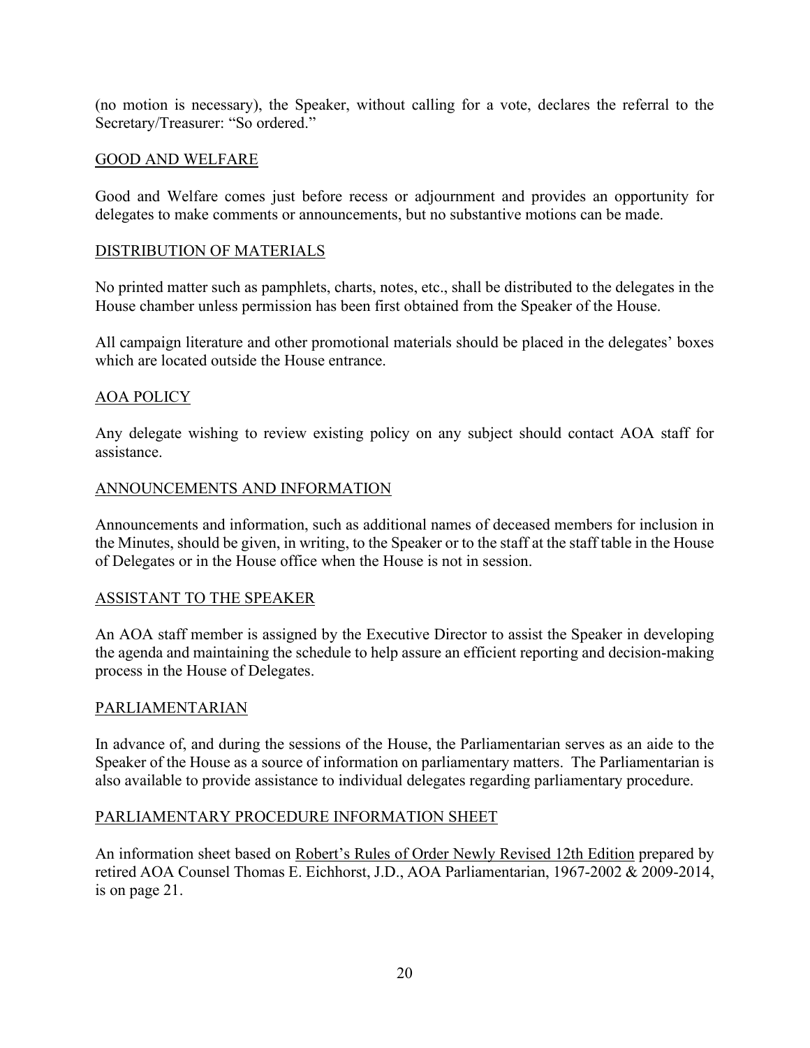(no motion is necessary), the Speaker, without calling for a vote, declares the referral to the Secretary/Treasurer: "So ordered."

# GOOD AND WELFARE

Good and Welfare comes just before recess or adjournment and provides an opportunity for delegates to make comments or announcements, but no substantive motions can be made.

# DISTRIBUTION OF MATERIALS

No printed matter such as pamphlets, charts, notes, etc., shall be distributed to the delegates in the House chamber unless permission has been first obtained from the Speaker of the House.

All campaign literature and other promotional materials should be placed in the delegates' boxes which are located outside the House entrance.

# AOA POLICY

Any delegate wishing to review existing policy on any subject should contact AOA staff for assistance.

# ANNOUNCEMENTS AND INFORMATION

Announcements and information, such as additional names of deceased members for inclusion in the Minutes, should be given, in writing, to the Speaker or to the staff at the staff table in the House of Delegates or in the House office when the House is not in session.

# ASSISTANT TO THE SPEAKER

An AOA staff member is assigned by the Executive Director to assist the Speaker in developing the agenda and maintaining the schedule to help assure an efficient reporting and decision-making process in the House of Delegates.

# PARLIAMENTARIAN

In advance of, and during the sessions of the House, the Parliamentarian serves as an aide to the Speaker of the House as a source of information on parliamentary matters. The Parliamentarian is also available to provide assistance to individual delegates regarding parliamentary procedure.

# PARLIAMENTARY PROCEDURE INFORMATION SHEET

An information sheet based on Robert's Rules of Order Newly Revised 12th Edition prepared by retired AOA Counsel Thomas E. Eichhorst, J.D., AOA Parliamentarian, 1967-2002 & 2009-2014, is on page 21.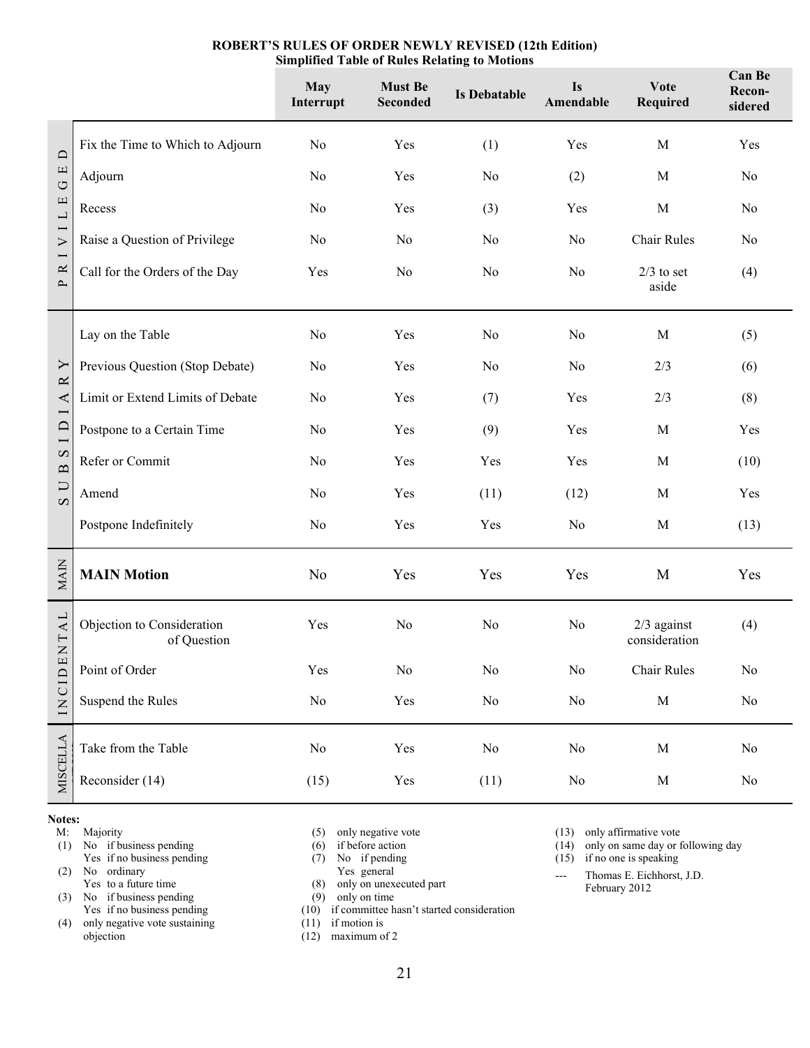|                                                                                                                   |                                           | <b>May</b><br>Interrupt | <b>Must Be</b><br>Seconded | <b>Is Debatable</b> | <b>Is</b><br>Amendable | <b>Vote</b><br>Required        | <b>Can Be</b><br>Recon-<br>sidered |
|-------------------------------------------------------------------------------------------------------------------|-------------------------------------------|-------------------------|----------------------------|---------------------|------------------------|--------------------------------|------------------------------------|
| $\Box$<br>$\Box$<br>$\circ$<br>L E<br>$\overline{ }$<br>$\triangleright$<br>$\overline{ }$<br>$\approx$<br>$\sim$ | Fix the Time to Which to Adjourn          | No                      | Yes                        | (1)                 | Yes                    | M                              | Yes                                |
|                                                                                                                   | Adjourn                                   | No                      | Yes                        | No                  | (2)                    | $\mathbf M$                    | No                                 |
|                                                                                                                   | Recess                                    | No                      | Yes                        | (3)                 | Yes                    | $\mathbf M$                    | No                                 |
|                                                                                                                   | Raise a Question of Privilege             | No                      | No                         | No                  | No                     | Chair Rules                    | No                                 |
|                                                                                                                   | Call for the Orders of the Day            | Yes                     | No                         | No                  | No                     | $2/3$ to set<br>aside          | (4)                                |
| Y<br>$\approx$<br>$\blacktriangleleft$<br>$\Box$<br>$\overline{ }$<br>B S<br>$\overline{C}$                       | Lay on the Table                          | No                      | Yes                        | No                  | No                     | M                              | (5)                                |
|                                                                                                                   | Previous Question (Stop Debate)           | No                      | Yes                        | No                  | No                     | 2/3                            | (6)                                |
|                                                                                                                   | Limit or Extend Limits of Debate          | No                      | Yes                        | (7)                 | Yes                    | 2/3                            | (8)                                |
|                                                                                                                   | Postpone to a Certain Time                | No                      | Yes                        | (9)                 | Yes                    | $\mathbf M$                    | Yes                                |
|                                                                                                                   | Refer or Commit                           | No                      | Yes                        | Yes                 | Yes                    | $\mathbf M$                    | (10)                               |
|                                                                                                                   | Amend                                     | No                      | Yes                        | (11)                | (12)                   | M                              | Yes                                |
|                                                                                                                   | Postpone Indefinitely                     | No                      | Yes                        | Yes                 | No                     | $\mathbf M$                    | (13)                               |
| <b>MAIN</b>                                                                                                       | <b>MAIN Motion</b>                        | N <sub>o</sub>          | Yes                        | Yes                 | Yes                    | M                              | Yes                                |
| ENTAL<br>INCID                                                                                                    | Objection to Consideration<br>of Question | Yes                     | No                         | No                  | No                     | $2/3$ against<br>consideration | (4)                                |
|                                                                                                                   | Point of Order                            | Yes                     | $\rm No$                   | No                  | No                     | <b>Chair Rules</b>             | No                                 |
|                                                                                                                   | Suspend the Rules                         | $\rm No$                | $\operatorname{Yes}$       | $\rm No$            | $\rm No$               | $\mathbf M$                    | $\rm No$                           |
| <b>MISCELLA</b>                                                                                                   | Take from the Table                       | $\rm No$                | $\operatorname{Yes}$       | No                  | No                     | $\mathbf M$                    | $\rm No$                           |
|                                                                                                                   | Reconsider (14)                           | (15)                    | Yes                        | (11)                | No                     | $\mathbf M$                    | $\rm No$                           |

#### **ROBERT'S RULES OF ORDER NEWLY REVISED (12th Edition) Simplified Table of Rules Relating to Motions**

#### **Notes:**

- M: Majority
- (1) No if business pending Yes if no business pending (2) No ordinary
- Yes to a future time
- (3) No if business pending Yes if no business pending
- (4) only negative vote sustaining objection
- (5) only negative vote
- (6) if before action
- (7) No if pending
- Yes general (8) only on unexecuted part
- (9) only on time
- (10) if committee hasn't started consideration
- (11) if motion is
- (12) maximum of 2
- (13) only affirmative vote  $(14)$  only on same day or f
- only on same day or following day
- (15) if no one is speaking
- --- Thomas E. Eichhorst, J.D. February 2012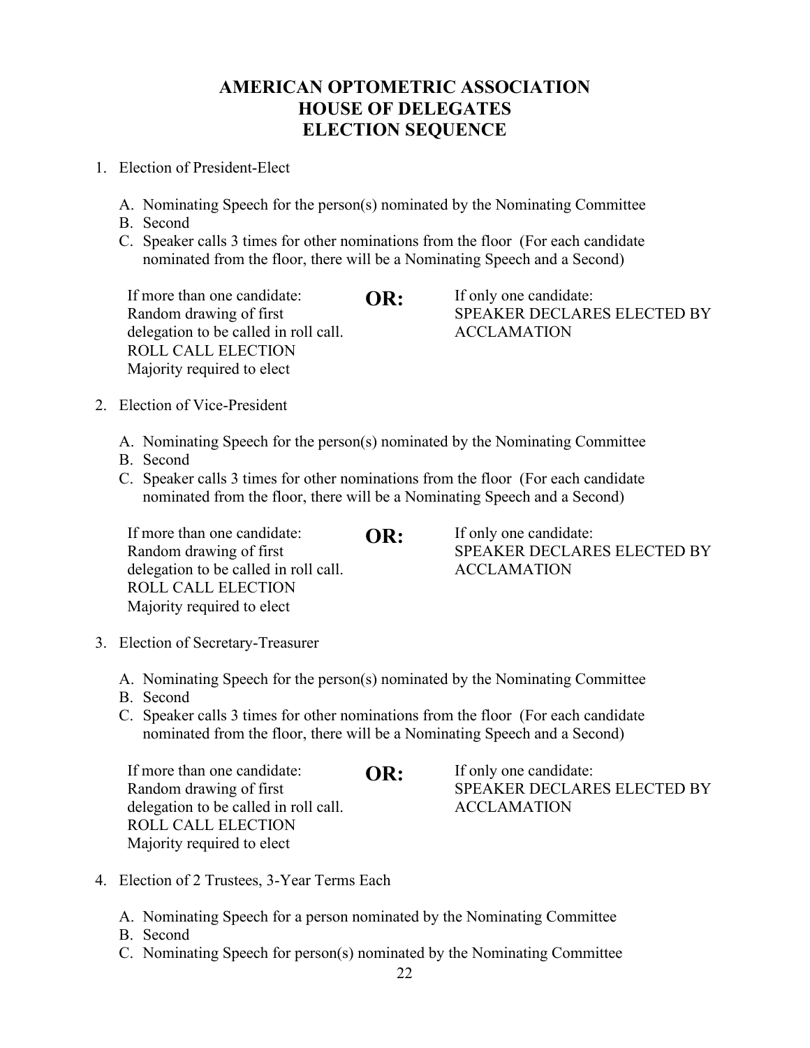# **AMERICAN OPTOMETRIC ASSOCIATION HOUSE OF DELEGATES ELECTION SEQUENCE**

- 1. Election of President-Elect
	- A. Nominating Speech for the person(s) nominated by the Nominating Committee
	- B. Second
	- C. Speaker calls 3 times for other nominations from the floor (For each candidate nominated from the floor, there will be a Nominating Speech and a Second)

- 2. Election of Vice-President
	- A. Nominating Speech for the person(s) nominated by the Nominating Committee
	- B. Second
	- C. Speaker calls 3 times for other nominations from the floor (For each candidate nominated from the floor, there will be a Nominating Speech and a Second)

If more than one candidate: Random drawing of first delegation to be called in roll call. ROLL CALL ELECTION Majority required to elect **OR:** If only one candidate: SPEAKER DECLARES ELECTED BY ACCLAMATION

- 3. Election of Secretary-Treasurer
	- A. Nominating Speech for the person(s) nominated by the Nominating Committee
	- B. Second
	- C. Speaker calls 3 times for other nominations from the floor (For each candidate nominated from the floor, there will be a Nominating Speech and a Second)

| If more than one candidate:           | OR: | If only one candidate:      |
|---------------------------------------|-----|-----------------------------|
| Random drawing of first               |     | SPEAKER DECLARES ELECTED BY |
| delegation to be called in roll call. |     | ACCLAMATION                 |
| ROLL CALL ELECTION                    |     |                             |
| Majority required to elect            |     |                             |

- 4. Election of 2 Trustees, 3-Year Terms Each
	- A. Nominating Speech for a person nominated by the Nominating Committee
	- B. Second
	- C. Nominating Speech for person(s) nominated by the Nominating Committee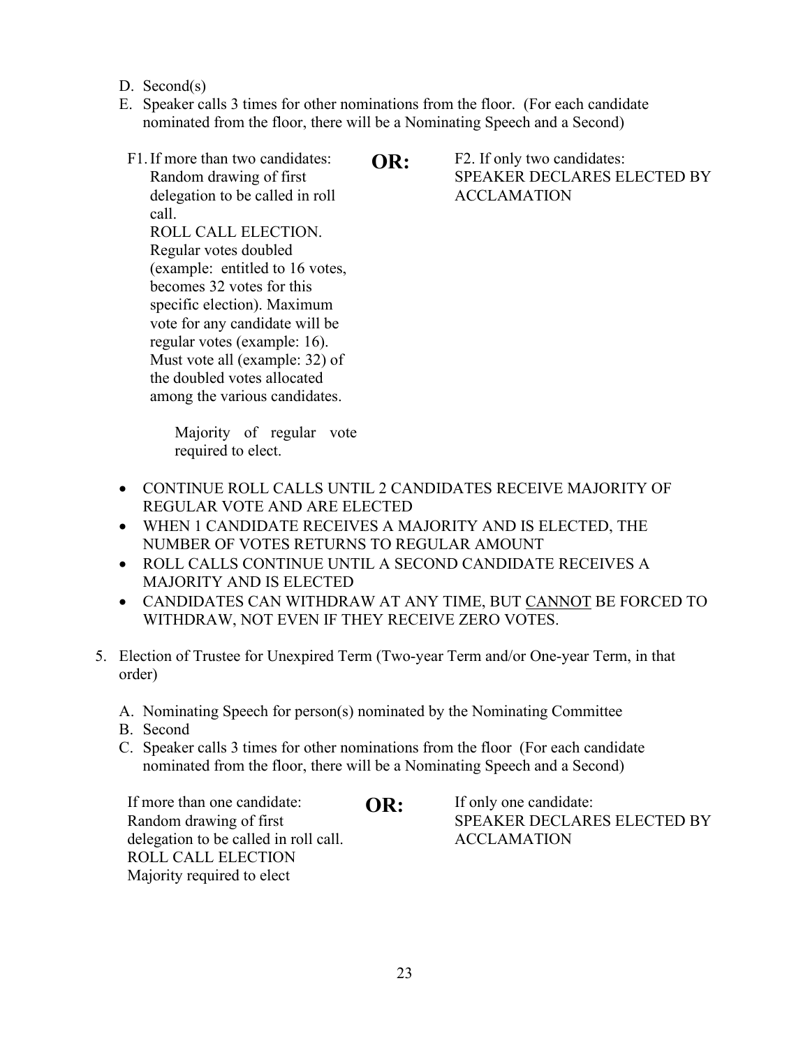- D. Second(s)
- E. Speaker calls 3 times for other nominations from the floor. (For each candidate nominated from the floor, there will be a Nominating Speech and a Second)
- F1.If more than two candidates: Random drawing of first delegation to be called in roll call.

ROLL CALL ELECTION. Regular votes doubled (example: entitled to 16 votes, becomes 32 votes for this specific election). Maximum vote for any candidate will be regular votes (example: 16). Must vote all (example: 32) of the doubled votes allocated among the various candidates.

**OR:** F2. If only two candidates: SPEAKER DECLARES ELECTED BY ACCLAMATION

Majority of regular vote required to elect.

- CONTINUE ROLL CALLS UNTIL 2 CANDIDATES RECEIVE MAJORITY OF REGULAR VOTE AND ARE ELECTED
- WHEN 1 CANDIDATE RECEIVES A MAJORITY AND IS ELECTED, THE NUMBER OF VOTES RETURNS TO REGULAR AMOUNT
- ROLL CALLS CONTINUE UNTIL A SECOND CANDIDATE RECEIVES A MAJORITY AND IS ELECTED
- CANDIDATES CAN WITHDRAW AT ANY TIME, BUT CANNOT BE FORCED TO WITHDRAW, NOT EVEN IF THEY RECEIVE ZERO VOTES.
- 5. Election of Trustee for Unexpired Term (Two-year Term and/or One-year Term, in that order)
	- A. Nominating Speech for person(s) nominated by the Nominating Committee
	- B. Second
	- C. Speaker calls 3 times for other nominations from the floor (For each candidate nominated from the floor, there will be a Nominating Speech and a Second)

| If more than one candidate:           | OR: | If only one candidate:      |
|---------------------------------------|-----|-----------------------------|
| Random drawing of first               |     | SPEAKER DECLARES ELECTED BY |
| delegation to be called in roll call. |     | <b>ACCLAMATION</b>          |
| <b>ROLL CALL ELECTION</b>             |     |                             |
| Majority required to elect            |     |                             |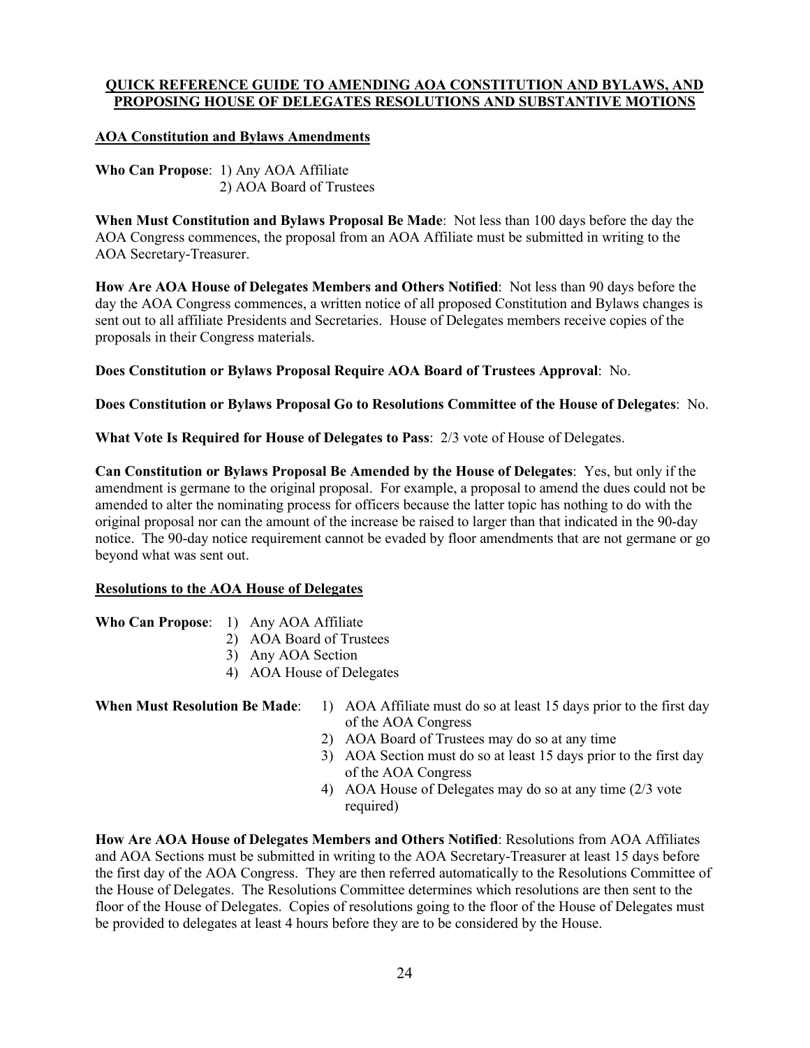### **QUICK REFERENCE GUIDE TO AMENDING AOA CONSTITUTION AND BYLAWS, AND PROPOSING HOUSE OF DELEGATES RESOLUTIONS AND SUBSTANTIVE MOTIONS**

### **AOA Constitution and Bylaws Amendments**

**Who Can Propose**: 1) Any AOA Affiliate 2) AOA Board of Trustees

**When Must Constitution and Bylaws Proposal Be Made**: Not less than 100 days before the day the AOA Congress commences, the proposal from an AOA Affiliate must be submitted in writing to the AOA Secretary-Treasurer.

**How Are AOA House of Delegates Members and Others Notified**: Not less than 90 days before the day the AOA Congress commences, a written notice of all proposed Constitution and Bylaws changes is sent out to all affiliate Presidents and Secretaries. House of Delegates members receive copies of the proposals in their Congress materials.

**Does Constitution or Bylaws Proposal Require AOA Board of Trustees Approval**: No.

**Does Constitution or Bylaws Proposal Go to Resolutions Committee of the House of Delegates**: No.

**What Vote Is Required for House of Delegates to Pass**: 2/3 vote of House of Delegates.

**Can Constitution or Bylaws Proposal Be Amended by the House of Delegates**: Yes, but only if the amendment is germane to the original proposal. For example, a proposal to amend the dues could not be amended to alter the nominating process for officers because the latter topic has nothing to do with the original proposal nor can the amount of the increase be raised to larger than that indicated in the 90-day notice. The 90-day notice requirement cannot be evaded by floor amendments that are not germane or go beyond what was sent out.

#### **Resolutions to the AOA House of Delegates**

- **Who Can Propose**: 1) Any AOA Affiliate
	- 2) AOA Board of Trustees
	- 3) Any AOA Section
	- 4) AOA House of Delegates

- **When Must Resolution Be Made:** 1) AOA Affiliate must do so at least 15 days prior to the first day of the AOA Congress
	- 2) AOA Board of Trustees may do so at any time
	- 3) AOA Section must do so at least 15 days prior to the first day of the AOA Congress
	- 4) AOA House of Delegates may do so at any time (2/3 vote required)

**How Are AOA House of Delegates Members and Others Notified**: Resolutions from AOA Affiliates and AOA Sections must be submitted in writing to the AOA Secretary-Treasurer at least 15 days before the first day of the AOA Congress. They are then referred automatically to the Resolutions Committee of the House of Delegates. The Resolutions Committee determines which resolutions are then sent to the floor of the House of Delegates. Copies of resolutions going to the floor of the House of Delegates must be provided to delegates at least 4 hours before they are to be considered by the House.